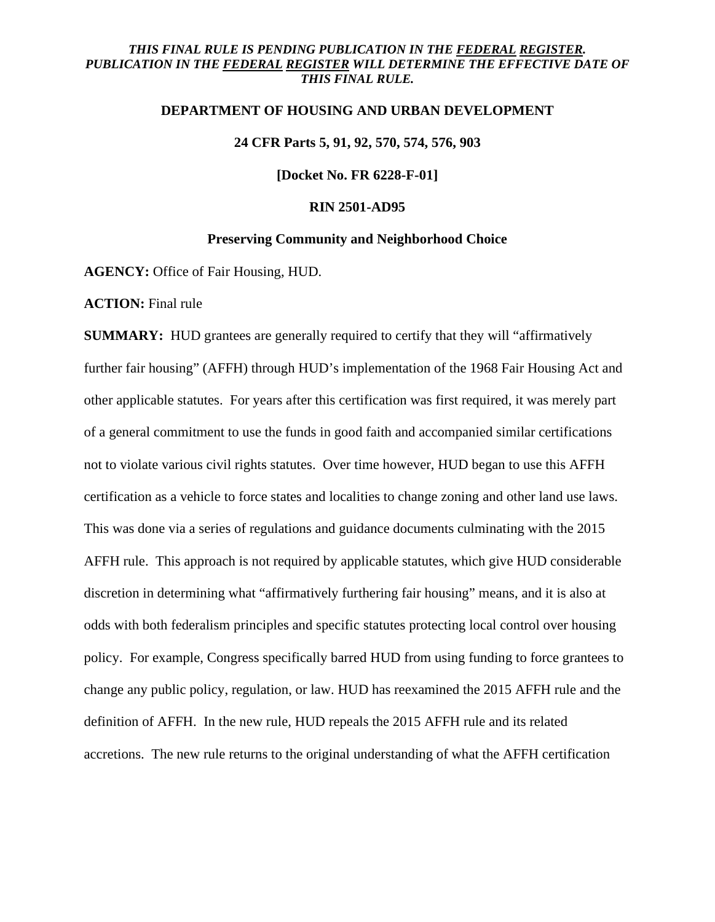# *THIS FINAL RULE IS PENDING PUBLICATION IN THE FEDERAL REGISTER.*  PUBLICATION IN THE FEDERAL REGISTER WILL DETERMINE THE EFFECTIVE DATE OF *THIS FINAL RULE.*

### **DEPARTMENT OF HOUSING AND URBAN DEVELOPMENT**

# **24 CFR Parts 5, 91, 92, 570, 574, 576, 903**

**[Docket No. FR 6228-F-01]** 

#### **RIN 2501-AD95**

#### **Preserving Community and Neighborhood Choice**

**AGENCY:** Office of Fair Housing, HUD.

**ACTION:** Final rule

**SUMMARY:** HUD grantees are generally required to certify that they will "affirmatively" further fair housing" (AFFH) through HUD's implementation of the 1968 Fair Housing Act and other applicable statutes. For years after this certification was first required, it was merely part of a general commitment to use the funds in good faith and accompanied similar certifications not to violate various civil rights statutes. Over time however, HUD began to use this AFFH certification as a vehicle to force states and localities to change zoning and other land use laws. This was done via a series of regulations and guidance documents culminating with the 2015 AFFH rule. This approach is not required by applicable statutes, which give HUD considerable discretion in determining what "affirmatively furthering fair housing" means, and it is also at odds with both federalism principles and specific statutes protecting local control over housing policy. For example, Congress specifically barred HUD from using funding to force grantees to change any public policy, regulation, or law. HUD has reexamined the 2015 AFFH rule and the definition of AFFH. In the new rule, HUD repeals the 2015 AFFH rule and its related accretions. The new rule returns to the original understanding of what the AFFH certification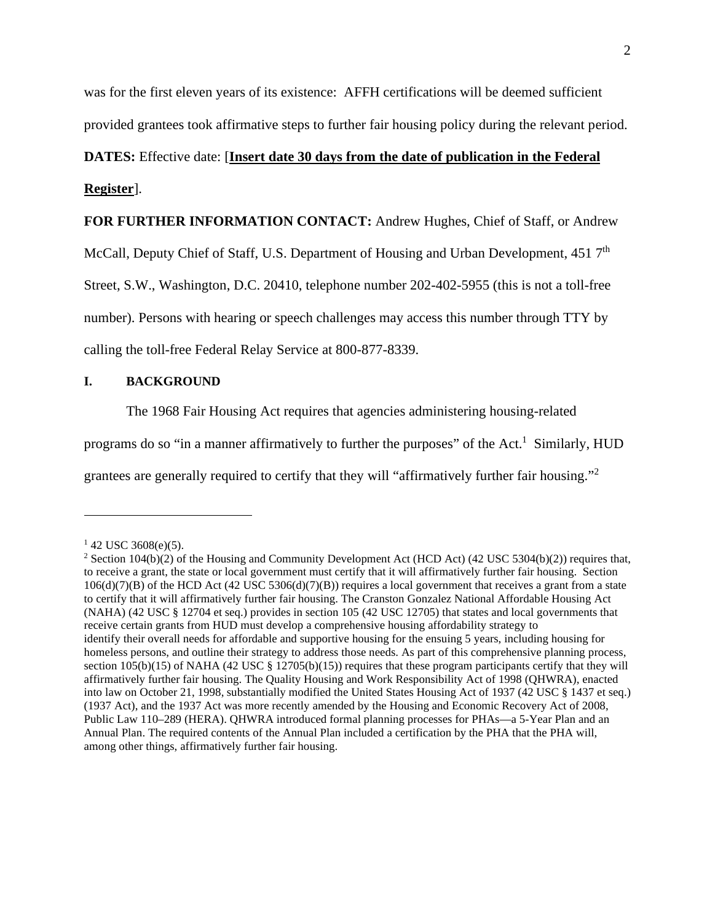was for the first eleven years of its existence: AFFH certifications will be deemed sufficient provided grantees took affirmative steps to further fair housing policy during the relevant period.

# **DATES:** Effective date: [**Insert date 30 days from the date of publication in the Federal**

# **Register**].

**FOR FURTHER INFORMATION CONTACT:** Andrew Hughes, Chief of Staff, or Andrew

McCall, Deputy Chief of Staff, U.S. Department of Housing and Urban Development, 451 7<sup>th</sup>

Street, S.W., Washington, D.C. 20410, telephone number 202-402-5955 (this is not a toll-free

number). Persons with hearing or speech challenges may access this number through TTY by

calling the toll-free Federal Relay Service at 800-877-8339.

## **I. BACKGROUND**

The 1968 Fair Housing Act requires that agencies administering housing-related

programs do so "in a manner affirmatively to further the purposes" of the Act.<sup>1</sup> Similarly, HUD

grantees are generally required to certify that they will "affirmatively further fair housing."<sup>2</sup>

 $142$  USC 3608(e)(5).

<sup>&</sup>lt;sup>2</sup> Section 104(b)(2) of the Housing and Community Development Act (HCD Act) (42 USC 5304(b)(2)) requires that, to receive a grant, the state or local government must certify that it will affirmatively further fair housing. Section 106(d)(7)(B) of the HCD Act (42 USC 5306(d)(7)(B)) requires a local government that receives a grant from a state to certify that it will affirmatively further fair housing. The Cranston Gonzalez National Affordable Housing Act (NAHA) (42 USC § 12704 et seq.) provides in section 105 (42 USC 12705) that states and local governments that receive certain grants from HUD must develop a comprehensive housing affordability strategy to identify their overall needs for affordable and supportive housing for the ensuing 5 years, including housing for homeless persons, and outline their strategy to address those needs. As part of this comprehensive planning process, section 105(b)(15) of NAHA (42 USC § 12705(b)(15)) requires that these program participants certify that they will affirmatively further fair housing. The Quality Housing and Work Responsibility Act of 1998 (QHWRA), enacted into law on October 21, 1998, substantially modified the United States Housing Act of 1937 (42 USC § 1437 et seq.) (1937 Act), and the 1937 Act was more recently amended by the Housing and Economic Recovery Act of 2008, Public Law 110–289 (HERA). QHWRA introduced formal planning processes for PHAs—a 5-Year Plan and an Annual Plan. The required contents of the Annual Plan included a certification by the PHA that the PHA will, among other things, affirmatively further fair housing.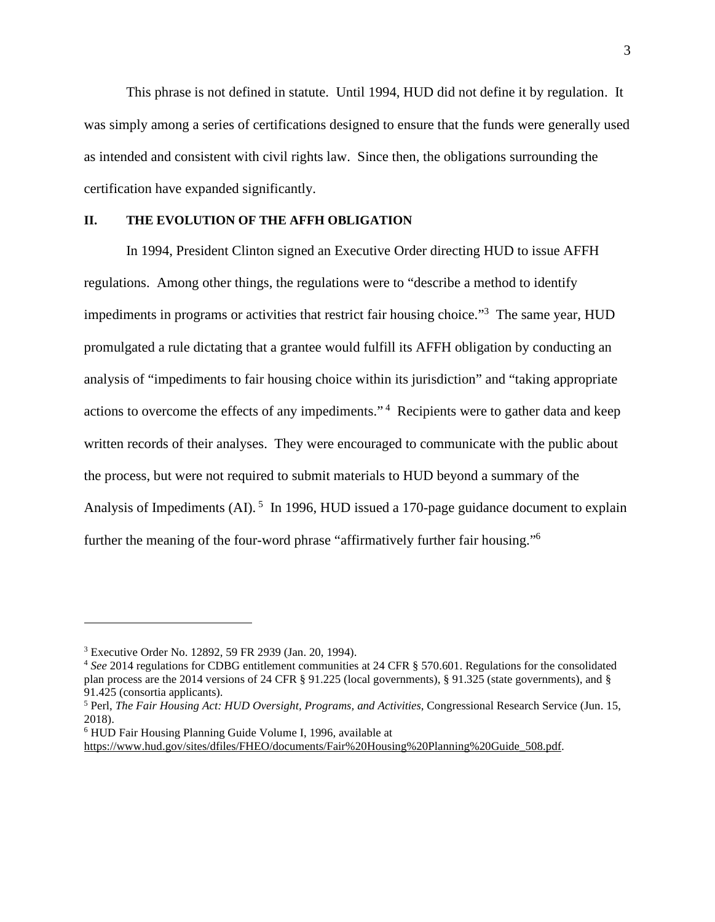This phrase is not defined in statute. Until 1994, HUD did not define it by regulation. It was simply among a series of certifications designed to ensure that the funds were generally used as intended and consistent with civil rights law. Since then, the obligations surrounding the certification have expanded significantly.

#### **II. THE EVOLUTION OF THE AFFH OBLIGATION**

In 1994, President Clinton signed an Executive Order directing HUD to issue AFFH regulations. Among other things, the regulations were to "describe a method to identify impediments in programs or activities that restrict fair housing choice."<sup>3</sup> The same year, HUD promulgated a rule dictating that a grantee would fulfill its AFFH obligation by conducting an analysis of "impediments to fair housing choice within its jurisdiction" and "taking appropriate actions to overcome the effects of any impediments."<sup>4</sup> Recipients were to gather data and keep written records of their analyses. They were encouraged to communicate with the public about the process, but were not required to submit materials to HUD beyond a summary of the Analysis of Impediments (AI).<sup>5</sup> In 1996, HUD issued a 170-page guidance document to explain further the meaning of the four-word phrase "affirmatively further fair housing."<sup>6</sup>

<sup>3</sup> Executive Order No. 12892, 59 FR 2939 (Jan. 20, 1994).

<sup>4</sup> *See* 2014 regulations for CDBG entitlement communities at 24 CFR § 570.601. Regulations for the consolidated plan process are the 2014 versions of 24 CFR § 91.225 (local governments), § 91.325 (state governments), and § 91.425 (consortia applicants).

<sup>5</sup> Perl, *The Fair Housing Act: HUD Oversight, Programs, and Activities*, Congressional Research Service (Jun. 15, 2018).

<sup>6</sup> HUD Fair Housing Planning Guide Volume I, 1996, available at

[https://www.hud.gov/sites/dfiles/FHEO/documents/Fair%20Housing%20Planning%20Guide\\_508.pdf.](https://www.hud.gov/sites/dfiles/FHEO/documents/Fair%20Housing%20Planning%20Guide_508.pdf)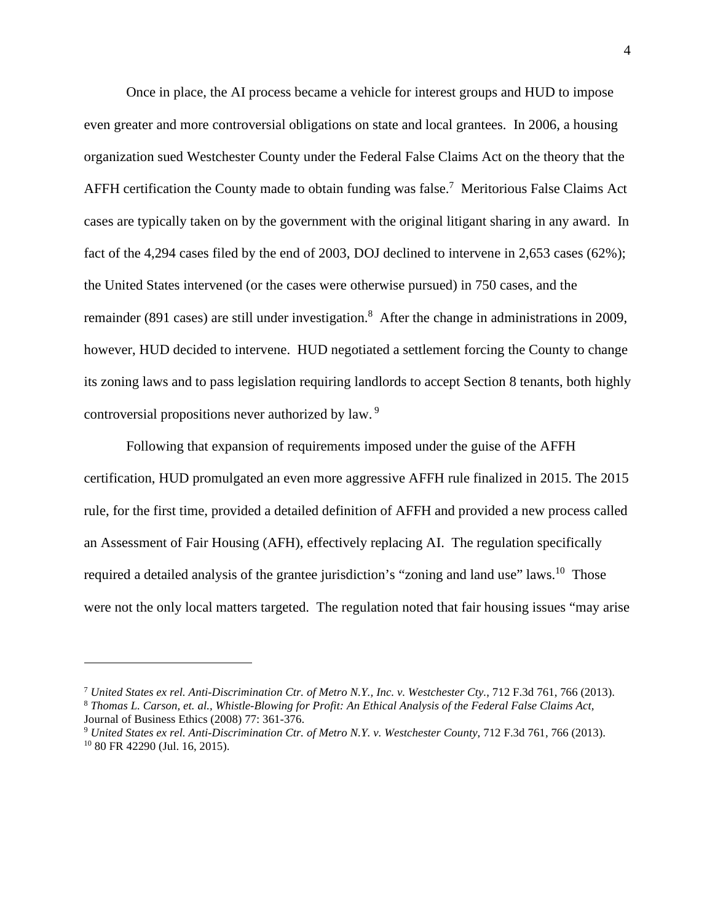Once in place, the AI process became a vehicle for interest groups and HUD to impose even greater and more controversial obligations on state and local grantees. In 2006, a housing organization sued Westchester County under the Federal False Claims Act on the theory that the AFFH certification the County made to obtain funding was false.<sup>7</sup> Meritorious False Claims Act cases are typically taken on by the government with the original litigant sharing in any award. In fact of the 4,294 cases filed by the end of 2003, DOJ declined to intervene in 2,653 cases (62%); the United States intervened (or the cases were otherwise pursued) in 750 cases, and the remainder (891 cases) are still under investigation.<sup>8</sup> After the change in administrations in 2009, however, HUD decided to intervene. HUD negotiated a settlement forcing the County to change its zoning laws and to pass legislation requiring landlords to accept Section 8 tenants, both highly controversial propositions never authorized by law.<sup>9</sup>

Following that expansion of requirements imposed under the guise of the AFFH certification, HUD promulgated an even more aggressive AFFH rule finalized in 2015. The 2015 rule, for the first time, provided a detailed definition of AFFH and provided a new process called an Assessment of Fair Housing (AFH), effectively replacing AI. The regulation specifically required a detailed analysis of the grantee jurisdiction's "zoning and land use" laws.<sup>10</sup> Those were not the only local matters targeted. The regulation noted that fair housing issues "may arise

<sup>7</sup> *United States ex rel. Anti-Discrimination Ctr. of Metro N.Y., Inc. v. Westchester Cty.*, 712 F.3d 761, 766 (2013). <sup>8</sup> *[Thomas](file:///C:\Users\H52302\AppData\Local\Microsoft\Windows\INetCache\Content.Outlook\N8LFXR13\Thomas) L. Carson, et. al., Whistle-Blowing for Profit: An Ethical Analysis of the Federal False Claims Act,* 

Journal of Business Ethics (2008) 77: 361-376.

<sup>9</sup> *United States ex rel. Anti-Discrimination Ctr. of Metro N.Y. v. Westchester County*, 712 F.3d 761, 766 (2013). 10 80 FR 42290 (Jul. 16, 2015).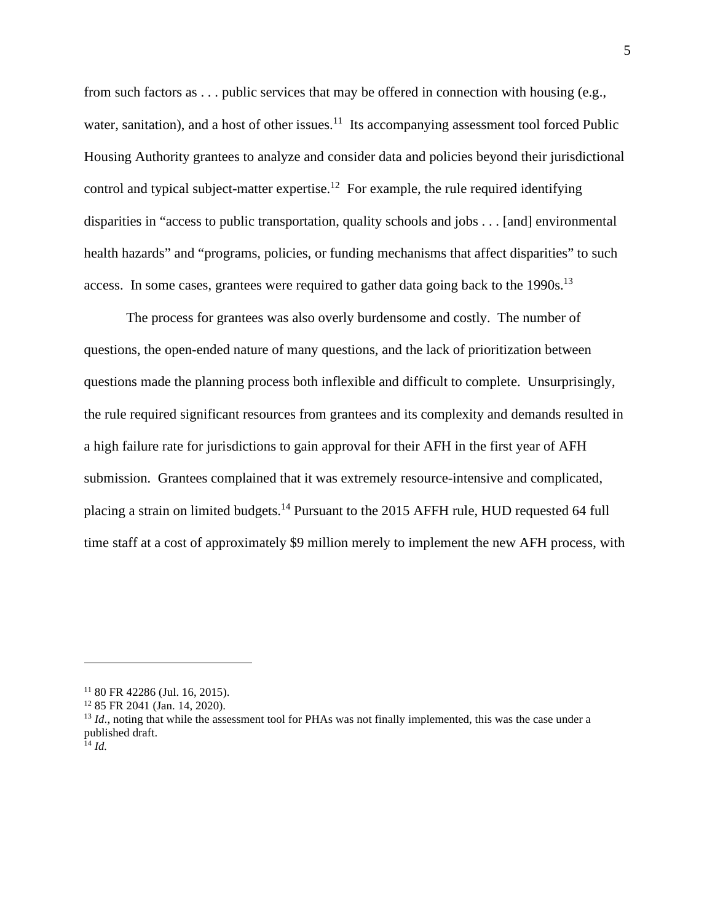from such factors as . . . public services that may be offered in connection with housing (e.g., water, sanitation), and a host of other issues.<sup>11</sup> Its accompanying assessment tool forced Public Housing Authority grantees to analyze and consider data and policies beyond their jurisdictional control and typical subject-matter expertise.<sup>12</sup> For example, the rule required identifying disparities in "access to public transportation, quality schools and jobs . . . [and] environmental health hazards" and "programs, policies, or funding mechanisms that affect disparities" to such access. In some cases, grantees were required to gather data going back to the  $1990s$ <sup>13</sup>

The process for grantees was also overly burdensome and costly. The number of questions, the open-ended nature of many questions, and the lack of prioritization between questions made the planning process both inflexible and difficult to complete. Unsurprisingly, the rule required significant resources from grantees and its complexity and demands resulted in a high failure rate for jurisdictions to gain approval for their AFH in the first year of AFH submission. Grantees complained that it was extremely resource-intensive and complicated, placing a strain on limited budgets.<sup>14</sup> Pursuant to the 2015 AFFH rule, HUD requested 64 full time staff at a cost of approximately \$9 million merely to implement the new AFH process, with

<sup>11</sup> 80 FR 42286 (Jul. 16, 2015).

<sup>12</sup> 85 FR 2041 (Jan. 14, 2020).

<sup>&</sup>lt;sup>13</sup> *Id.*, noting that while the assessment tool for PHAs was not finally implemented, this was the case under a published draft.

 $\frac{1}{14}$  *Id.*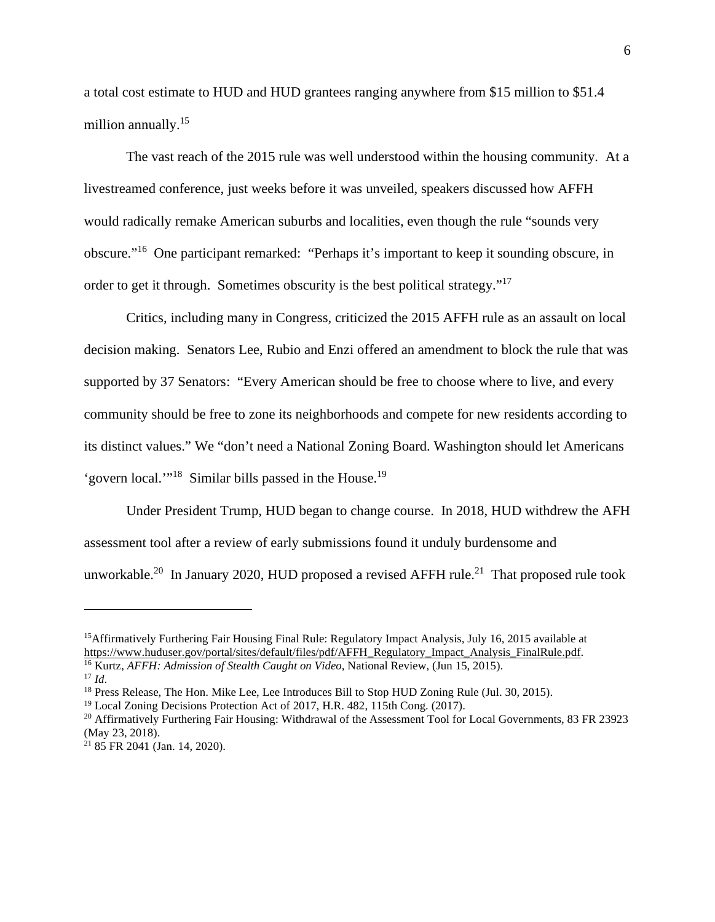a total cost estimate to HUD and HUD grantees ranging anywhere from \$15 million to \$51.4 million annually.<sup>15</sup>

The vast reach of the 2015 rule was well understood within the housing community. At a livestreamed conference, just weeks before it was unveiled, speakers discussed how AFFH would radically remake American suburbs and localities, even though the rule "sounds very obscure."<sup>16</sup> One participant remarked: "Perhaps it's important to keep it sounding obscure, in order to get it through. Sometimes obscurity is the best political strategy." $17$ 

Critics, including many in Congress, criticized the 2015 AFFH rule as an assault on local decision making. Senators Lee, Rubio and Enzi offered an amendment to block the rule that was supported by 37 Senators: "Every American should be free to choose where to live, and every community should be free to zone its neighborhoods and compete for new residents according to its distinct values." We "don't need a National Zoning Board. Washington should let Americans 'govern local."<sup>18</sup> Similar bills passed in the House.<sup>19</sup>

Under President Trump, HUD began to change course. In 2018, HUD withdrew the AFH assessment tool after a review of early submissions found it unduly burdensome and unworkable.<sup>20</sup> In January 2020, HUD proposed a revised AFFH rule.<sup>21</sup> That proposed rule took

<sup>&</sup>lt;sup>15</sup>Affirmatively Furthering Fair Housing Final Rule: Regulatory Impact Analysis, July 16, 2015 available at [https://www.huduser.gov/portal/sites/default/files/pdf/AFFH\\_Regulatory\\_Impact\\_Analysis\\_FinalRule.pdf.](https://www.huduser.gov/portal/sites/default/files/pdf/AFFH_Regulatory_Impact_Analysis_FinalRule.pdf) <sup>16</sup> Kurtz, *AFFH: Admission of Stealth Caught on Video*, National Review, (Jun 15, 2015).

 $17$  *Id.* 

<sup>&</sup>lt;sup>18</sup> Press Release, The Hon. Mike Lee, Lee Introduces Bill to Stop HUD Zoning Rule (Jul. 30, 2015).

<sup>&</sup>lt;sup>19</sup> Local Zoning Decisions Protection Act of 2017, H.R. 482, 115th Cong. (2017).

<sup>&</sup>lt;sup>20</sup> Affirmatively Furthering Fair Housing: Withdrawal of the Assessment Tool for Local Governments, 83 FR 23923 (May 23, 2018).

<sup>21</sup> 85 FR 2041 (Jan. 14, 2020).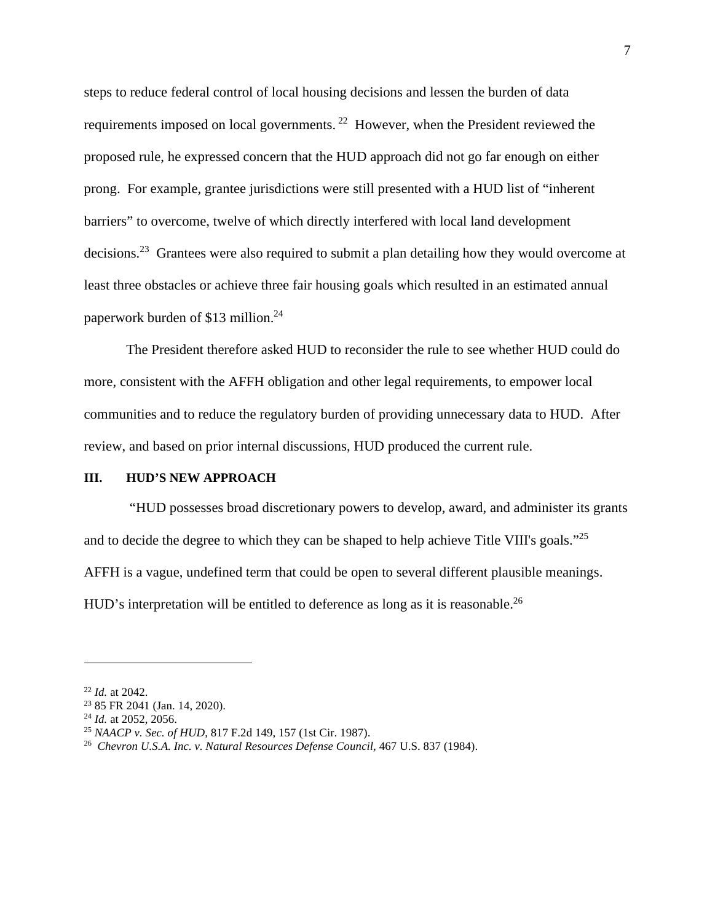steps to reduce federal control of local housing decisions and lessen the burden of data requirements imposed on local governments.<sup>22</sup> However, when the President reviewed the proposed rule, he expressed concern that the HUD approach did not go far enough on either prong. For example, grantee jurisdictions were still presented with a HUD list of "inherent barriers" to overcome, twelve of which directly interfered with local land development decisions.<sup>23</sup> Grantees were also required to submit a plan detailing how they would overcome at least three obstacles or achieve three fair housing goals which resulted in an estimated annual paperwork burden of \$13 million.<sup>24</sup>

The President therefore asked HUD to reconsider the rule to see whether HUD could do more, consistent with the AFFH obligation and other legal requirements, to empower local communities and to reduce the regulatory burden of providing unnecessary data to HUD. After review, and based on prior internal discussions, HUD produced the current rule.

#### **III. HUD'S NEW APPROACH**

 "HUD possesses broad discretionary powers to develop, award, and administer its grants and to decide the degree to which they can be shaped to help achieve Title VIII's goals."<sup>25</sup> AFFH is a vague, undefined term that could be open to several different plausible meanings. HUD's interpretation will be entitled to deference as long as it is reasonable.<sup>26</sup>

<sup>22</sup> *Id.* at 2042.

<sup>23</sup> 85 FR 2041 (Jan. 14, 2020).

<sup>24</sup> *Id.* at 2052, 2056.

<sup>25</sup> *NAACP v. Sec. of HUD*, 817 F.2d 149, 157 (1st Cir. 1987).

<sup>&</sup>lt;sup>26</sup> Chevron U.S.A. Inc. v. Natural Resources Defense Council, 467 U.S. 837 (1984).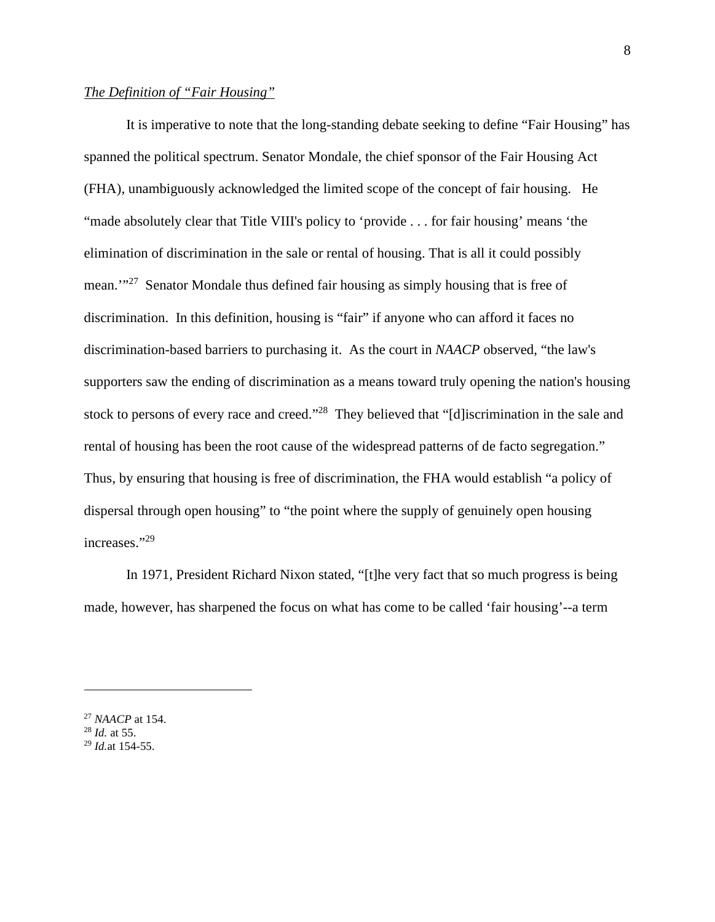# *The Definition of "Fair Housing"*

It is imperative to note that the long-standing debate seeking to define "Fair Housing" has spanned the political spectrum. Senator Mondale, the chief sponsor of the Fair Housing Act (FHA), unambiguously acknowledged the limited scope of the concept of fair housing. He "made absolutely clear that Title VIII's policy to 'provide . . . for fair housing' means 'the elimination of discrimination in the sale or rental of housing. That is all it could possibly mean.'"<sup>27</sup> Senator Mondale thus defined fair housing as simply housing that is free of discrimination. In this definition, housing is "fair" if anyone who can afford it faces no discrimination-based barriers to purchasing it. As the court in *NAACP* observed, "the law's supporters saw the ending of discrimination as a means toward truly opening the nation's housing stock to persons of every race and creed."<sup>28</sup> They believed that "[d]iscrimination in the sale and rental of housing has been the root cause of the widespread patterns of de facto segregation." Thus, by ensuring that housing is free of discrimination, the FHA would establish "a policy of dispersal through open housing" to "the point where the supply of genuinely open housing increases."<sup>29</sup>

In 1971, President Richard Nixon stated, "[t]he very fact that so much progress is being made, however, has sharpened the focus on what has come to be called 'fair housing'--a term

<sup>27</sup> *NAACP* at 154.

<sup>28</sup> *Id.* at 55.

<sup>29</sup> *Id.*at 154-55.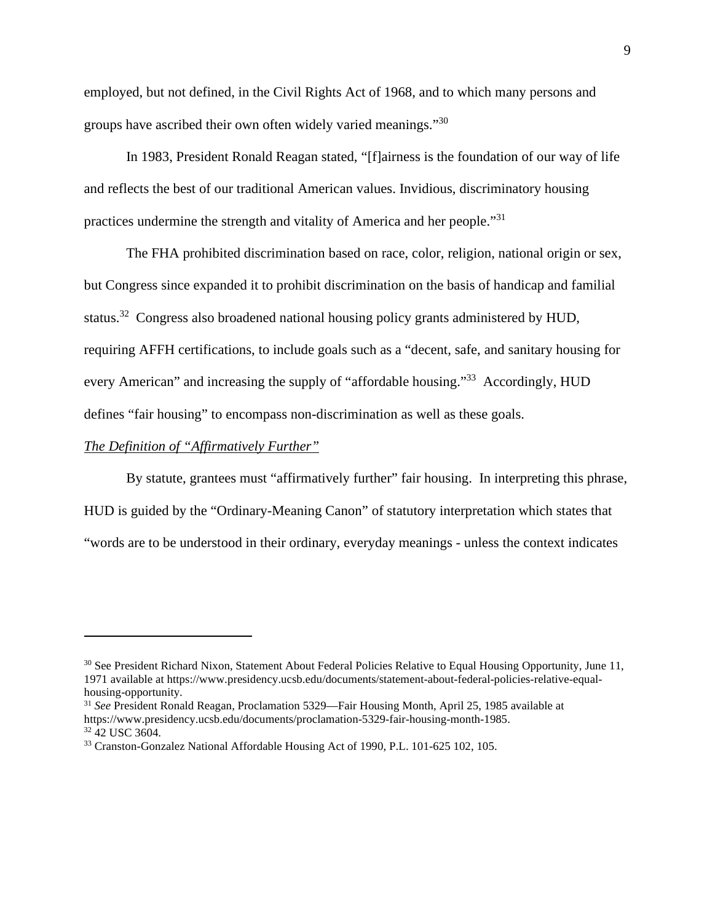employed, but not defined, in the Civil Rights Act of 1968, and to which many persons and groups have ascribed their own often widely varied meanings."<sup>30</sup>

In 1983, President Ronald Reagan stated, "[f]airness is the foundation of our way of life and reflects the best of our traditional American values. Invidious, discriminatory housing practices undermine the strength and vitality of America and her people."<sup>31</sup>

The FHA prohibited discrimination based on race, color, religion, national origin or sex, but Congress since expanded it to prohibit discrimination on the basis of handicap and familial status.<sup>32</sup> Congress also broadened national housing policy grants administered by HUD, requiring AFFH certifications, to include goals such as a "decent, safe, and sanitary housing for every American" and increasing the supply of "affordable housing."<sup>33</sup> Accordingly, HUD defines "fair housing" to encompass non-discrimination as well as these goals.

#### *The Definition of "Affirmatively Further"*

By statute, grantees must "affirmatively further" fair housing. In interpreting this phrase, HUD is guided by the "Ordinary-Meaning Canon" of statutory interpretation which states that "words are to be understood in their ordinary, everyday meanings - unless the context indicates

<sup>&</sup>lt;sup>30</sup> See President Richard Nixon, Statement About Federal Policies Relative to Equal Housing Opportunity, June 11, 1971 available at https://www.presidency.ucsb.edu/documents/statement-about-federal-policies-relative-equalhousing-opportunity.

<sup>31</sup> *See* President Ronald Reagan, Proclamation 5329—Fair Housing Month, April 25, 1985 available at https://www.presidency.ucsb.edu/documents/proclamation-5329-fair-housing-month-1985. <sup>32</sup> 42 USC 3604.

<sup>33</sup> Cranston-Gonzalez National Affordable Housing Act of 1990, P.L. 101-625 102, 105.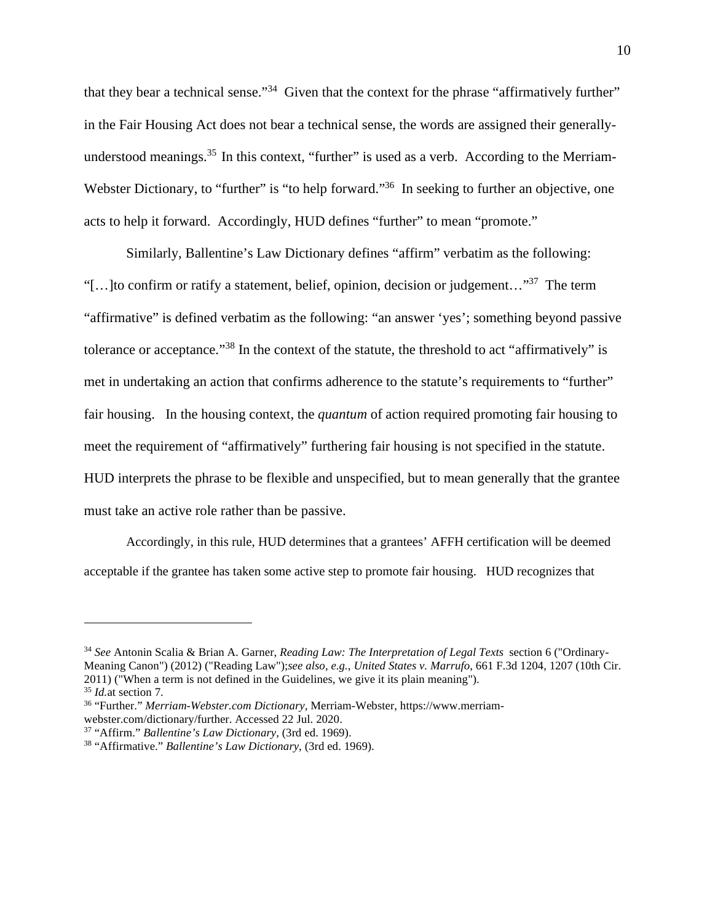that they bear a technical sense."<sup>34</sup> Given that the context for the phrase "affirmatively further" in the Fair Housing Act does not bear a technical sense, the words are assigned their generallyunderstood meanings.<sup>35</sup> In this context, "further" is used as a verb. According to the Merriam-Webster Dictionary, to "further" is "to help forward."<sup>36</sup> In seeking to further an objective, one acts to help it forward. Accordingly, HUD defines "further" to mean "promote."

Similarly, Ballentine's Law Dictionary defines "affirm" verbatim as the following: "[...] to confirm or ratify a statement, belief, opinion, decision or judgement..."<sup>37</sup> The term "affirmative" is defined verbatim as the following: "an answer 'yes'; something beyond passive tolerance or acceptance."<sup>38</sup> In the context of the statute, the threshold to act "affirmatively" is met in undertaking an action that confirms adherence to the statute's requirements to "further" fair housing. In the housing context, the *quantum* of action required promoting fair housing to meet the requirement of "affirmatively" furthering fair housing is not specified in the statute. HUD interprets the phrase to be flexible and unspecified, but to mean generally that the grantee must take an active role rather than be passive.

Accordingly, in this rule, HUD determines that a grantees' AFFH certification will be deemed acceptable if the grantee has taken some active step to promote fair housing. HUD recognizes that

<sup>34</sup> *See* Antonin Scalia & Brian A. Garner, *Reading Law: The Interpretation of Legal Texts* section 6 ("Ordinary-Meaning Canon") (2012) ("Reading Law");*see also, e.g.*, *United States v. Marrufo*, 661 F.3d 1204, 1207 (10th Cir. 2011) ("When a term is not defined in the Guidelines, we give it its plain meaning").

<sup>35</sup> *Id.*at section 7.

<sup>36</sup> "Further." *Merriam-Webster.com Dictionary,* Merriam-Webster, https://www.merriamwebster.com/dictionary/further. Accessed 22 Jul. 2020.

<sup>37</sup> "Affirm." *Ballentine's Law Dictionary*, (3rd ed. 1969).

<sup>38</sup> "Affirmative." *Ballentine's Law Dictionary*, (3rd ed. 1969).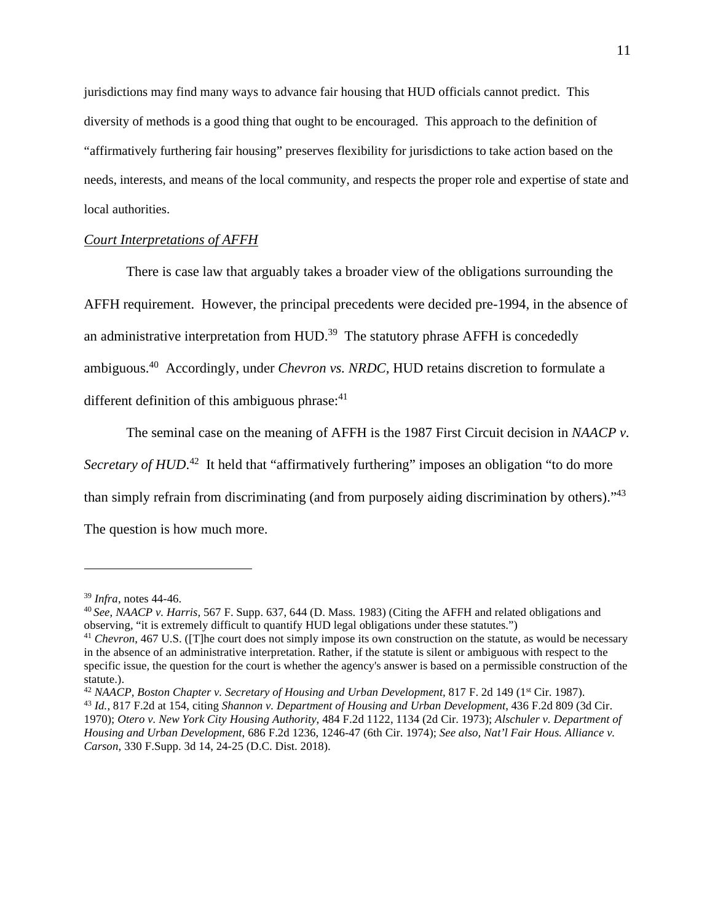jurisdictions may find many ways to advance fair housing that HUD officials cannot predict. This diversity of methods is a good thing that ought to be encouraged. This approach to the definition of "affirmatively furthering fair housing" preserves flexibility for jurisdictions to take action based on the needs, interests, and means of the local community, and respects the proper role and expertise of state and local authorities.

# *Court Interpretations of AFFH*

There is case law that arguably takes a broader view of the obligations surrounding the AFFH requirement. However, the principal precedents were decided pre-1994, in the absence of an administrative interpretation from HUD.<sup>39</sup> The statutory phrase AFFH is concededly ambiguous.<sup>40</sup> Accordingly, under *Chevron vs. NRDC,* HUD retains discretion to formulate a different definition of this ambiguous phrase:<sup>41</sup>

The seminal case on the meaning of AFFH is the 1987 First Circuit decision in *NAACP v.*  Secretary of HUD.<sup>42</sup> It held that "affirmatively furthering" imposes an obligation "to do more than simply refrain from discriminating (and from purposely aiding discrimination by others)."<sup>43</sup> The question is how much more.

<sup>39</sup> *Infra*, notes 44-46.

<sup>40</sup>*See, NAACP v. Harris,* 567 F. Supp. 637, 644 (D. Mass. 1983) (Citing the AFFH and related obligations and observing, "it is extremely difficult to quantify HUD legal obligations under these statutes.")

<sup>41</sup> *Chevron*, 467 U.S. ([T]he court does not simply impose its own construction on the statute, as would be necessary in the absence of an administrative interpretation. Rather, if the statute is silent or ambiguous with respect to the specific issue, the question for the court is whether the agency's answer is based on a permissible construction of the statute.).

<sup>&</sup>lt;sup>42</sup> NAACP, Boston Chapter v. Secretary of Housing and Urban Development, 817 F. 2d 149 (1<sup>st</sup> Cir. 1987). <sup>43</sup> *Id.*, 817 F.2d at 154, citing *Shannon v. Department of Housing and Urban Development*, 436 F.2d 809 (3d Cir. 1970); *Otero v. New York City Housing Authority*, 484 F.2d 1122, 1134 (2d Cir. 1973); *Alschuler v. Department of Housing and Urban Development*, 686 F.2d 1236, 1246-47 (6th Cir. 1974); *See also, Nat'l Fair Hous. Alliance v. Carson*, 330 F.Supp. 3d 14, 24-25 (D.C. Dist. 2018).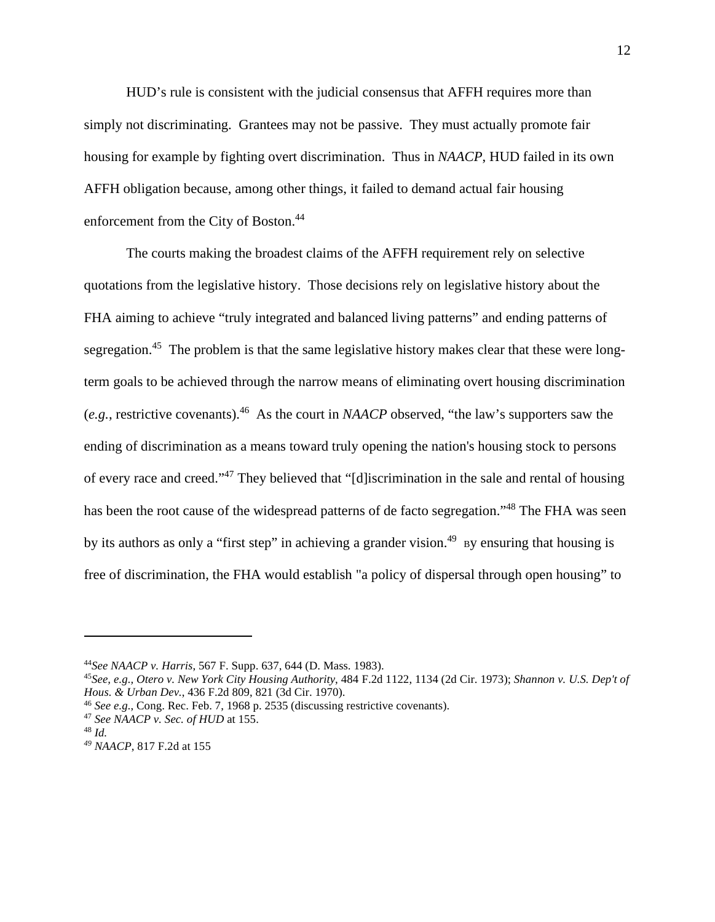HUD's rule is consistent with the judicial consensus that AFFH requires more than simply not discriminating. Grantees may not be passive. They must actually promote fair housing for example by fighting overt discrimination. Thus in *NAACP*, HUD failed in its own AFFH obligation because, among other things, it failed to demand actual fair housing enforcement from the City of Boston.<sup>44</sup>

The courts making the broadest claims of the AFFH requirement rely on selective quotations from the legislative history. Those decisions rely on legislative history about the FHA aiming to achieve "truly integrated and balanced living patterns" and ending patterns of segregation.<sup>45</sup> The problem is that the same legislative history makes clear that these were longterm goals to be achieved through the narrow means of eliminating overt housing discrimination (*e.g.*, restrictive covenants).<sup>46</sup> As the court in *NAACP* observed, "the law's supporters saw the ending of discrimination as a means toward truly opening the nation's housing stock to persons of every race and creed."<sup>47</sup> They believed that "[d]iscrimination in the sale and rental of housing has been the root cause of the widespread patterns of de facto segregation."<sup>48</sup> The FHA was seen by its authors as only a "first step" in achieving a grander vision.<sup>49</sup> by ensuring that housing is free of discrimination, the FHA would establish "a policy of dispersal through open housing" to

<sup>44</sup>*See NAACP v. Harris*, 567 F. Supp. 637, 644 (D. Mass. 1983).

<sup>45</sup>*See, e.g., Otero v. New York City Housing Authority*, 484 F.2d 1122, 1134 (2d Cir. 1973); *Shannon v. U.S. Dep't of Hous. & Urban Dev.*, 436 F.2d 809, 821 (3d Cir. 1970).

<sup>46</sup> *See e.g.*, Cong. Rec. Feb. 7, 1968 p. 2535 (discussing restrictive covenants).

<sup>47</sup> *See NAACP v. Sec. of HUD* at 155.

<sup>48</sup> *Id.* 

*<sup>49</sup> NAACP*, 817 F.2d at 155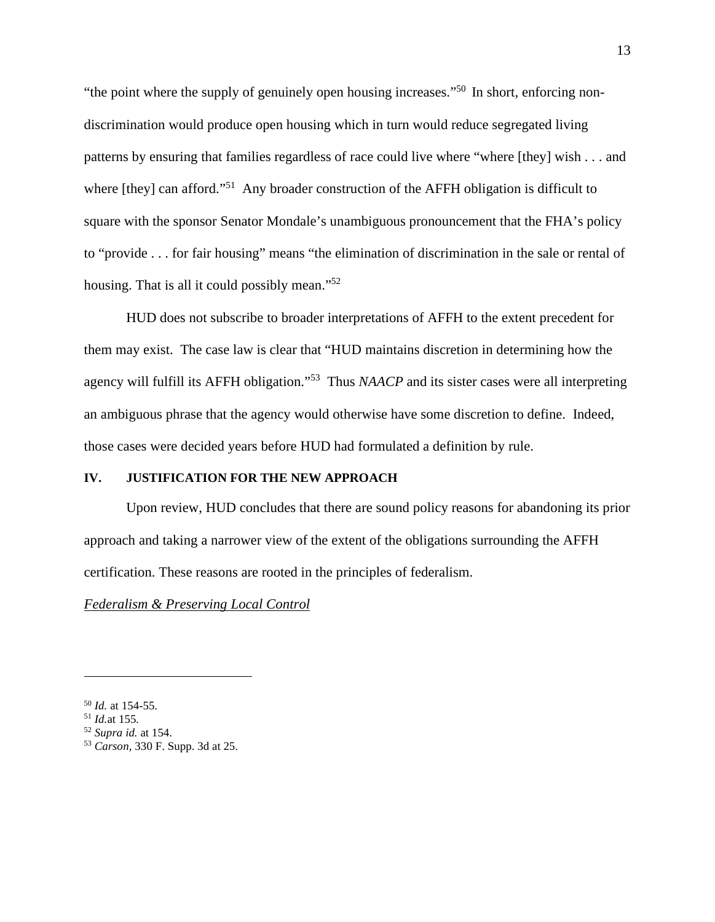"the point where the supply of genuinely open housing increases."<sup>50</sup> In short, enforcing nondiscrimination would produce open housing which in turn would reduce segregated living patterns by ensuring that families regardless of race could live where "where [they] wish . . . and where [they] can afford."<sup>51</sup> Any broader construction of the AFFH obligation is difficult to square with the sponsor Senator Mondale's unambiguous pronouncement that the FHA's policy to "provide . . . for fair housing" means "the elimination of discrimination in the sale or rental of housing. That is all it could possibly mean."<sup>52</sup>

HUD does not subscribe to broader interpretations of AFFH to the extent precedent for them may exist. The case law is clear that "HUD maintains discretion in determining how the agency will fulfill its AFFH obligation."<sup>53</sup> Thus *NAACP* and its sister cases were all interpreting an ambiguous phrase that the agency would otherwise have some discretion to define. Indeed, those cases were decided years before HUD had formulated a definition by rule.

#### **IV. JUSTIFICATION FOR THE NEW APPROACH**

Upon review, HUD concludes that there are sound policy reasons for abandoning its prior approach and taking a narrower view of the extent of the obligations surrounding the AFFH certification. These reasons are rooted in the principles of federalism.

#### *Federalism & Preserving Local Control*

<sup>50</sup> *Id.* at 154-55*.*

<sup>51</sup> *Id.*at 155*.*

<sup>52</sup> *Supra id.* at 154.

<sup>53</sup> *Carson,* 330 F. Supp. 3d at 25.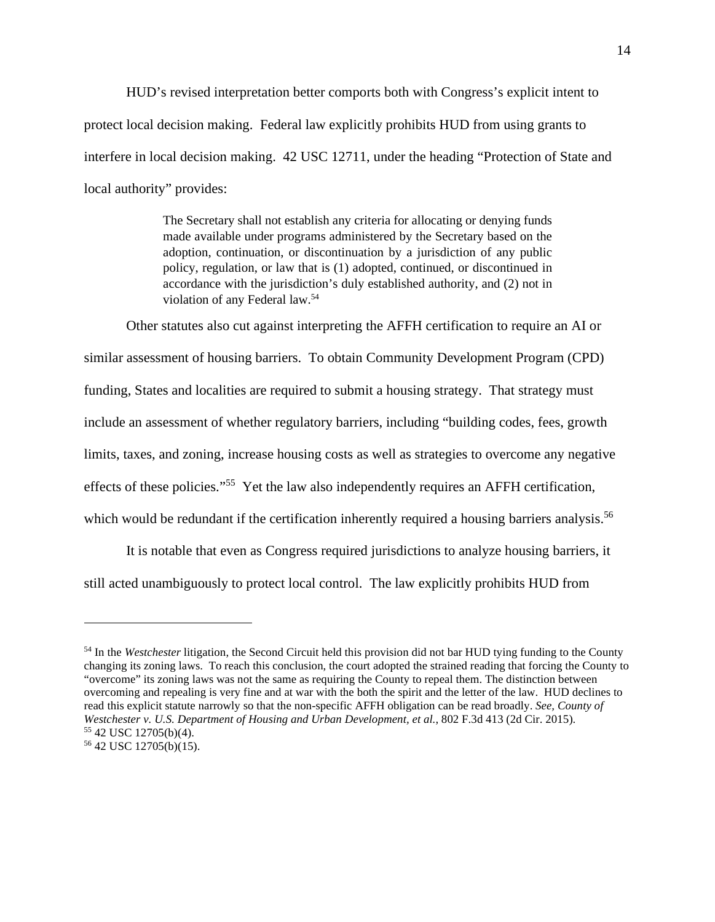HUD's revised interpretation better comports both with Congress's explicit intent to protect local decision making. Federal law explicitly prohibits HUD from using grants to interfere in local decision making. 42 USC 12711, under the heading "Protection of State and local authority" provides:

> The Secretary shall not establish any criteria for allocating or denying funds made available under programs administered by the Secretary based on the adoption, continuation, or discontinuation by a jurisdiction of any public policy, regulation, or law that is (1) adopted, continued, or discontinued in accordance with the jurisdiction's duly established authority, and (2) not in violation of any Federal law.<sup>54</sup>

Other statutes also cut against interpreting the AFFH certification to require an AI or similar assessment of housing barriers. To obtain Community Development Program (CPD) funding, States and localities are required to submit a housing strategy. That strategy must include an assessment of whether regulatory barriers, including "building codes, fees, growth limits, taxes, and zoning, increase housing costs as well as strategies to overcome any negative effects of these policies."<sup>55</sup> Yet the law also independently requires an AFFH certification, which would be redundant if the certification inherently required a housing barriers analysis.<sup>56</sup>

It is notable that even as Congress required jurisdictions to analyze housing barriers, it still acted unambiguously to protect local control. The law explicitly prohibits HUD from

<sup>54</sup> In the *Westchester* litigation, the Second Circuit held this provision did not bar HUD tying funding to the County changing its zoning laws. To reach this conclusion, the court adopted the strained reading that forcing the County to "overcome" its zoning laws was not the same as requiring the County to repeal them. The distinction between overcoming and repealing is very fine and at war with the both the spirit and the letter of the law. HUD declines to read this explicit statute narrowly so that the non-specific AFFH obligation can be read broadly. *See, County of Westchester v. U.S. Department of Housing and Urban Development, et al.*, 802 F.3d 413 (2d Cir. 2015). <sup>55</sup> 42 USC 12705(b)(4).

<sup>56</sup> 42 USC 12705(b)(15).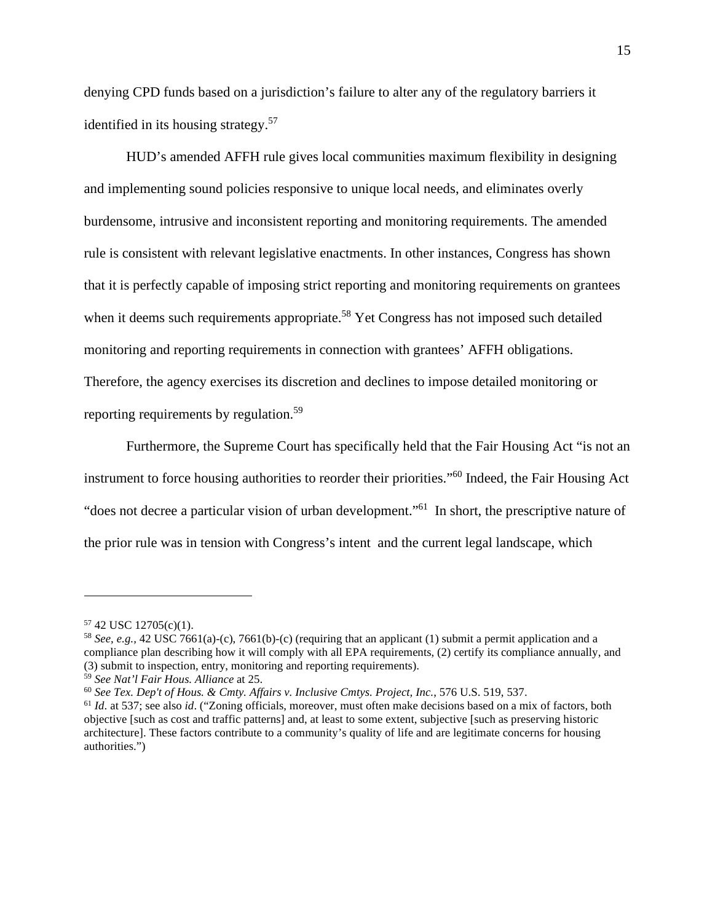denying CPD funds based on a jurisdiction's failure to alter any of the regulatory barriers it identified in its housing strategy.<sup>57</sup>

HUD's amended AFFH rule gives local communities maximum flexibility in designing and implementing sound policies responsive to unique local needs, and eliminates overly burdensome, intrusive and inconsistent reporting and monitoring requirements. The amended rule is consistent with relevant legislative enactments. In other instances, Congress has shown that it is perfectly capable of imposing strict reporting and monitoring requirements on grantees when it deems such requirements appropriate.<sup>58</sup> Yet Congress has not imposed such detailed monitoring and reporting requirements in connection with grantees' AFFH obligations. Therefore, the agency exercises its discretion and declines to impose detailed monitoring or reporting requirements by regulation.<sup>59</sup>

Furthermore, the Supreme Court has specifically held that the Fair Housing Act "is not an instrument to force housing authorities to reorder their priorities."<sup>60</sup> Indeed, the Fair Housing Act "does not decree a particular vision of urban development."<sup>61</sup> In short, the prescriptive nature of the prior rule was in tension with Congress's intent and the current legal landscape, which

<sup>57</sup> 42 USC 12705(c)(1).

<sup>58</sup> *See, e.g.,* 42 USC 7661(a)-(c), 7661(b)-(c) (requiring that an applicant (1) submit a permit application and a compliance plan describing how it will comply with all EPA requirements, (2) certify its compliance annually, and (3) submit to inspection, entry, monitoring and reporting requirements).

<sup>59</sup> *See Nat'l Fair Hous. Alliance* at 25.

<sup>60</sup> *See Tex. Dep't of Hous. & Cmty. Affairs v. Inclusive Cmtys. Project, Inc.*, 576 U.S. 519, 537.

<sup>61</sup> *Id*. at 537; see also *id*. ("Zoning officials, moreover, must often make decisions based on a mix of factors, both objective [such as cost and traffic patterns] and, at least to some extent, subjective [such as preserving historic architecture]. These factors contribute to a community's quality of life and are legitimate concerns for housing authorities.")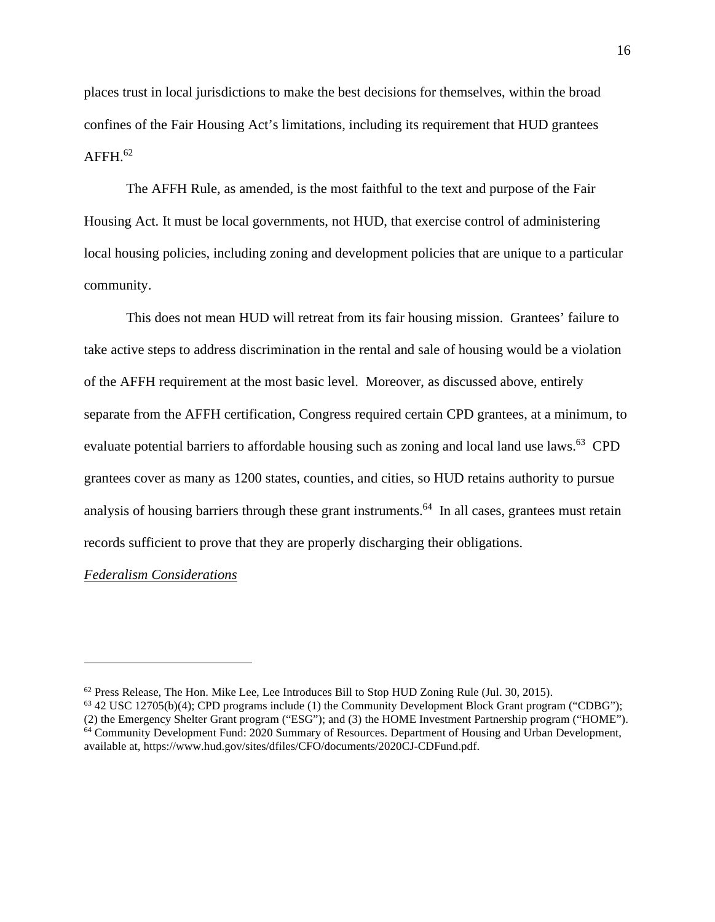places trust in local jurisdictions to make the best decisions for themselves, within the broad confines of the Fair Housing Act's limitations, including its requirement that HUD grantees  $A$ FFH $.62$ 

The AFFH Rule, as amended, is the most faithful to the text and purpose of the Fair Housing Act. It must be local governments, not HUD, that exercise control of administering local housing policies, including zoning and development policies that are unique to a particular community.

This does not mean HUD will retreat from its fair housing mission. Grantees' failure to take active steps to address discrimination in the rental and sale of housing would be a violation of the AFFH requirement at the most basic level. Moreover, as discussed above, entirely separate from the AFFH certification, Congress required certain CPD grantees, at a minimum, to evaluate potential barriers to affordable housing such as zoning and local land use laws.<sup>63</sup> CPD grantees cover as many as 1200 states, counties, and cities, so HUD retains authority to pursue analysis of housing barriers through these grant instruments.<sup>64</sup> In all cases, grantees must retain records sufficient to prove that they are properly discharging their obligations.

# *Federalism Considerations*

 $62$  Press Release, The Hon. Mike Lee, Lee Introduces Bill to Stop HUD Zoning Rule (Jul. 30, 2015).

 $63$  42 USC 12705(b)(4); CPD programs include (1) the Community Development Block Grant program ("CDBG"); (2) the Emergency Shelter Grant program ("ESG"); and (3) the HOME Investment Partnership program ("HOME"). <sup>64</sup> Community Development Fund: 2020 Summary of Resources. Department of Housing and Urban Development, available at, https://www.hud.gov/sites/dfiles/CFO/documents/2020CJ-CDFund.pdf.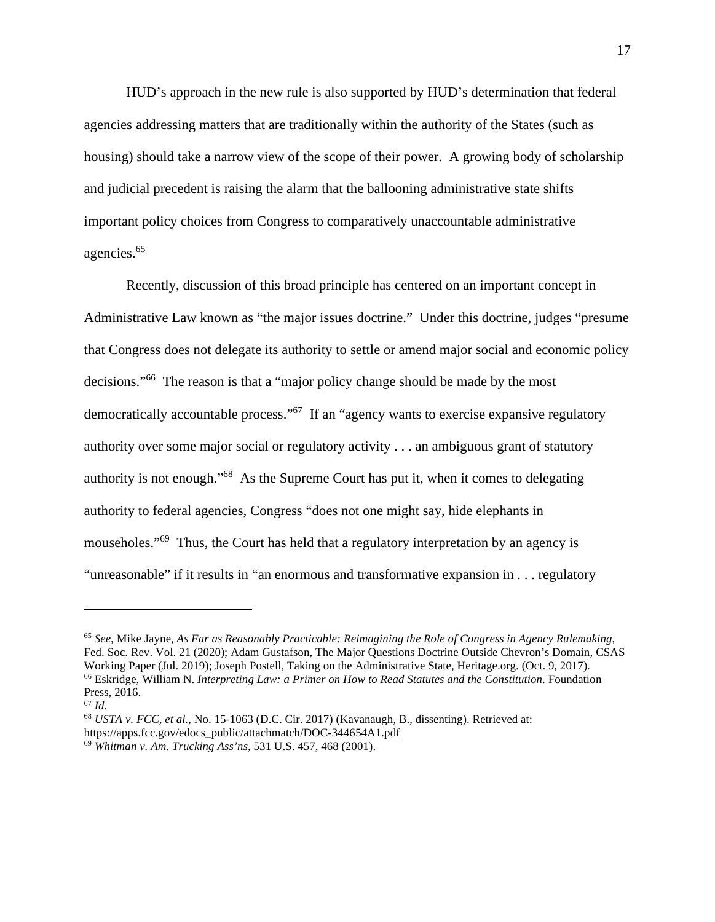HUD's approach in the new rule is also supported by HUD's determination that federal agencies addressing matters that are traditionally within the authority of the States (such as housing) should take a narrow view of the scope of their power. A growing body of scholarship and judicial precedent is raising the alarm that the ballooning administrative state shifts important policy choices from Congress to comparatively unaccountable administrative agencies.<sup>65</sup>

Recently, discussion of this broad principle has centered on an important concept in Administrative Law known as "the major issues doctrine." Under this doctrine, judges "presume that Congress does not delegate its authority to settle or amend major social and economic policy decisions."<sup>66</sup> The reason is that a "major policy change should be made by the most democratically accountable process."<sup> $67$ </sup> If an "agency wants to exercise expansive regulatory authority over some major social or regulatory activity . . . an ambiguous grant of statutory authority is not enough."<sup>68</sup> As the Supreme Court has put it, when it comes to delegating authority to federal agencies, Congress "does not one might say, hide elephants in mouseholes."<sup>69</sup> Thus, the Court has held that a regulatory interpretation by an agency is "unreasonable" if it results in "an enormous and transformative expansion in . . . regulatory

<sup>65</sup> *See*, Mike Jayne, *As Far as Reasonably Practicable: Reimagining the Role of Congress in Agency Rulemaking*, Fed. Soc. Rev. Vol. 21 (2020); Adam Gustafson, The Major Questions Doctrine Outside Chevron's Domain, CSAS Working Paper (Jul. 2019); Joseph Postell, Taking on the Administrative State, Heritage.org. (Oct. 9, 2017). <sup>66</sup> Eskridge, William N. *Interpreting Law: a Primer on How to Read Statutes and the Constitution*. Foundation Press, 2016.

<sup>67</sup> *Id.*

<sup>68</sup> *USTA v. FCC, et al.*, No. 15-1063 (D.C. Cir. 2017) (Kavanaugh, B., dissenting). Retrieved at: [https://apps.fcc.gov/edocs\\_public/attachmatch/DOC-344654A1.pdf](https://apps.fcc.gov/edocs_public/attachmatch/DOC-344654A1.pdf) 

<sup>69</sup> *Whitman v. Am. Trucking Ass'ns*, 531 U.S. 457, 468 (2001).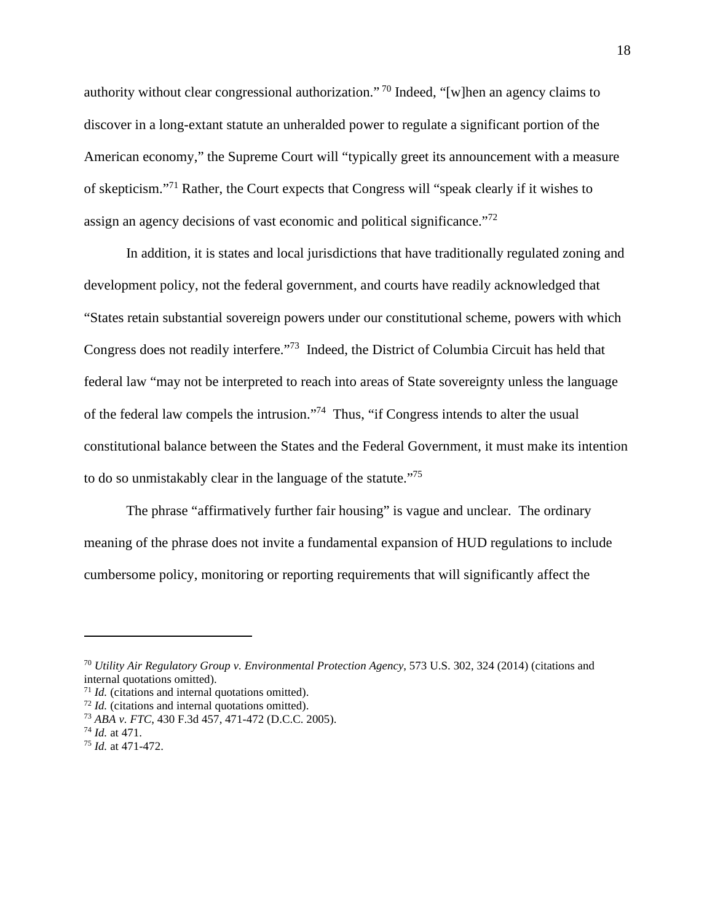authority without clear congressional authorization."<sup>70</sup> Indeed, "[w]hen an agency claims to discover in a long-extant statute an unheralded power to regulate a significant portion of the American economy," the Supreme Court will "typically greet its announcement with a measure of skepticism."<sup>71</sup> Rather, the Court expects that Congress will "speak clearly if it wishes to assign an agency decisions of vast economic and political significance.<sup>772</sup>

In addition, it is states and local jurisdictions that have traditionally regulated zoning and development policy, not the federal government, and courts have readily acknowledged that "States retain substantial sovereign powers under our constitutional scheme, powers with which Congress does not readily interfere."<sup>73</sup> Indeed, the District of Columbia Circuit has held that federal law "may not be interpreted to reach into areas of State sovereignty unless the language of the federal law compels the intrusion."<sup>74</sup> Thus, "if Congress intends to alter the usual constitutional balance between the States and the Federal Government, it must make its intention to do so unmistakably clear in the language of the statute."<sup>75</sup>

The phrase "affirmatively further fair housing" is vague and unclear. The ordinary meaning of the phrase does not invite a fundamental expansion of HUD regulations to include cumbersome policy, monitoring or reporting requirements that will significantly affect the

<sup>70</sup> *Utility Air Regulatory Group v. Environmental Protection Agency*, 573 U.S. 302, 324 (2014) (citations and internal quotations omitted).

<sup>71</sup> *Id.* (citations and internal quotations omitted).

<sup>72</sup> *Id.* (citations and internal quotations omitted).

<sup>73</sup> *ABA v. FTC*, 430 F.3d 457, 471-472 (D.C.C. 2005).

<sup>74</sup> *Id.* at 471.

<sup>75</sup> *Id.* at 471-472.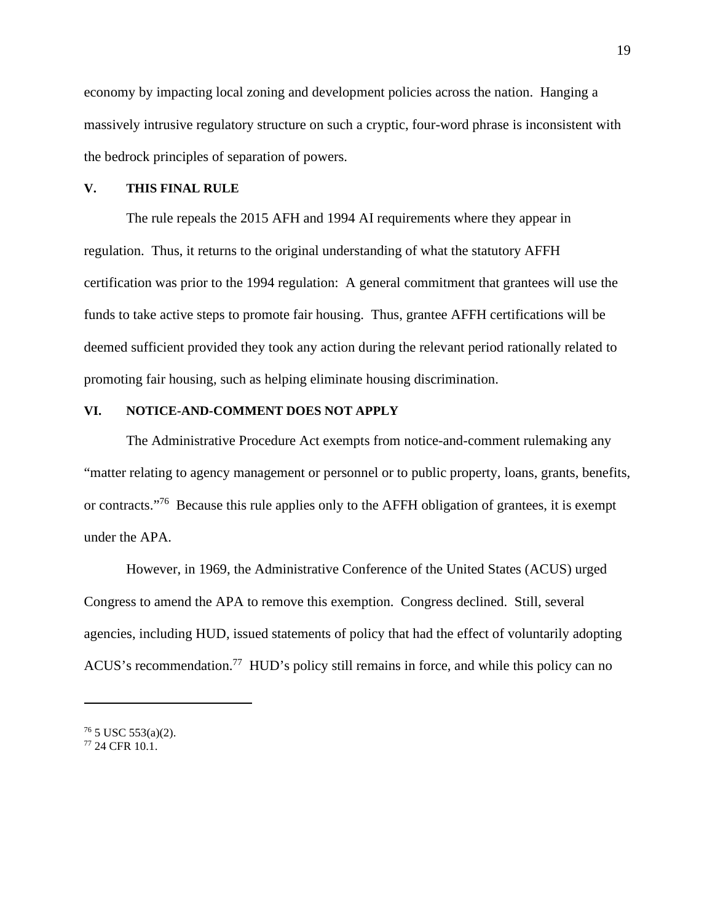economy by impacting local zoning and development policies across the nation. Hanging a massively intrusive regulatory structure on such a cryptic, four-word phrase is inconsistent with the bedrock principles of separation of powers.

#### **V. THIS FINAL RULE**

The rule repeals the 2015 AFH and 1994 AI requirements where they appear in regulation. Thus, it returns to the original understanding of what the statutory AFFH certification was prior to the 1994 regulation: A general commitment that grantees will use the funds to take active steps to promote fair housing. Thus, grantee AFFH certifications will be deemed sufficient provided they took any action during the relevant period rationally related to promoting fair housing, such as helping eliminate housing discrimination.

### **VI. NOTICE-AND-COMMENT DOES NOT APPLY**

The Administrative Procedure Act exempts from notice-and-comment rulemaking any "matter relating to [agency](https://www.law.cornell.edu/definitions/uscode.php?width=840&height=800&iframe=true&def_id=5-USC-1419699195-1277204883&term_occur=999&term_src=title:5:part:I:chapter:5:subchapter:II:section:553) management or personnel or to public property, loans, grants, benefits, or contracts."<sup>76</sup> Because this rule applies only to the AFFH obligation of grantees, it is exempt under the APA.

However, in 1969, the Administrative Conference of the United States (ACUS) urged Congress to amend the APA to remove this exemption. Congress declined. Still, several agencies, including HUD, issued statements of policy that had the effect of voluntarily adopting ACUS's recommendation.<sup>77</sup> HUD's policy still remains in force, and while this policy can no

 $76$  5 USC 553(a)(2).

<sup>77</sup> 24 CFR 10.1.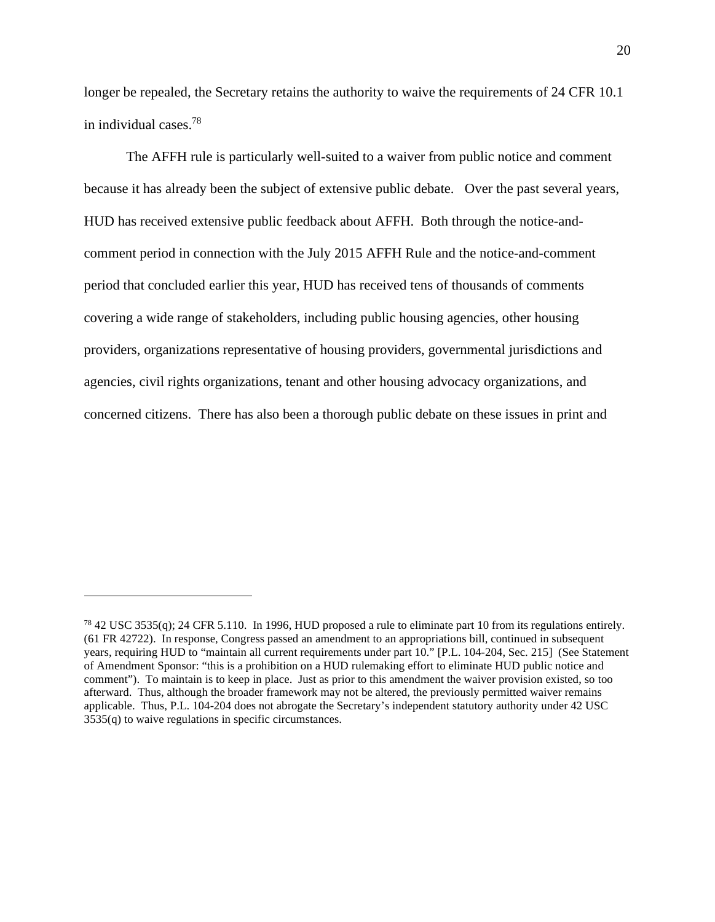longer be repealed, the Secretary retains the authority to waive the requirements of 24 CFR 10.1 in individual cases.<sup>78</sup>

The AFFH rule is particularly well-suited to a waiver from public notice and comment because it has already been the subject of extensive public debate. Over the past several years, HUD has received extensive public feedback about AFFH. Both through the notice-andcomment period in connection with the July 2015 AFFH Rule and the notice-and-comment period that concluded earlier this year, HUD has received tens of thousands of comments covering a wide range of stakeholders, including public housing agencies, other housing providers, organizations representative of housing providers, governmental jurisdictions and agencies, civil rights organizations, tenant and other housing advocacy organizations, and concerned citizens. There has also been a thorough public debate on these issues in print and

 $78\,42$  USC 3535(q); 24 CFR 5.110. In 1996, HUD proposed a rule to eliminate part 10 from its regulations entirely. (61 FR 42722). In response, Congress passed an amendment to an appropriations bill, continued in subsequent years, requiring HUD to "maintain all current requirements under part 10." [P.L. 104-204, Sec. 215] (See Statement of Amendment Sponsor: "this is a prohibition on a HUD rulemaking effort to eliminate HUD public notice and comment"). To maintain is to keep in place. Just as prior to this amendment the waiver provision existed, so too afterward. Thus, although the broader framework may not be altered, the previously permitted waiver remains applicable. Thus, P.L. 104-204 does not abrogate the Secretary's independent statutory authority under 42 USC 3535(q) to waive regulations in specific circumstances.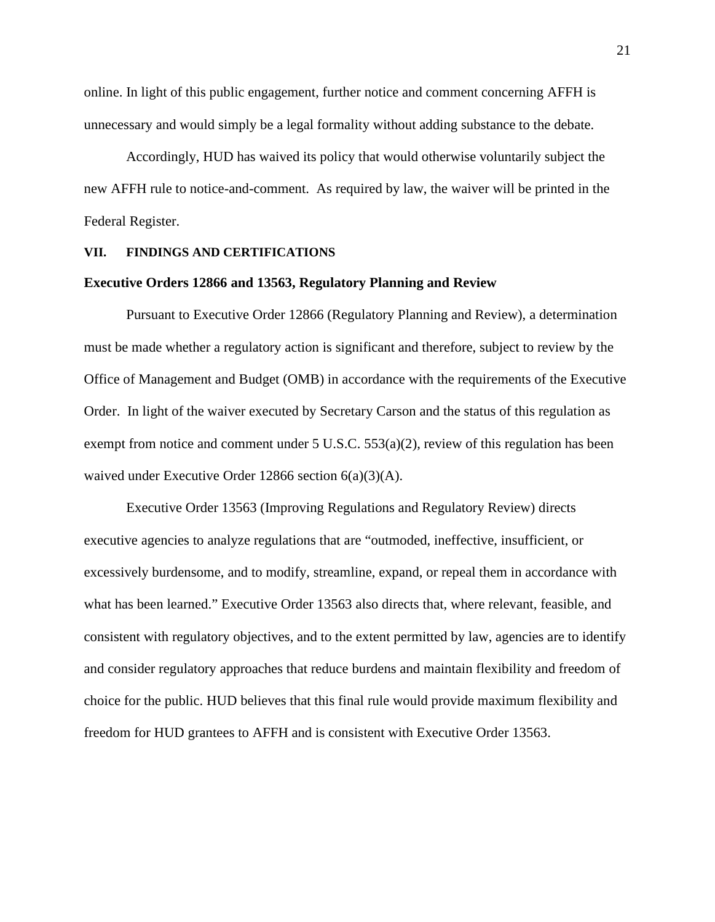online. In light of this public engagement, further notice and comment concerning AFFH is unnecessary and would simply be a legal formality without adding substance to the debate.

Accordingly, HUD has waived its policy that would otherwise voluntarily subject the new AFFH rule to notice-and-comment. As required by law, the waiver will be printed in the Federal Register.

#### **VII. FINDINGS AND CERTIFICATIONS**

#### **Executive Orders 12866 and 13563, Regulatory Planning and Review**

Pursuant to Executive Order 12866 (Regulatory Planning and Review), a determination must be made whether a regulatory action is significant and therefore, subject to review by the Office of Management and Budget (OMB) in accordance with the requirements of the Executive Order. In light of the waiver executed by Secretary Carson and the status of this regulation as exempt from notice and comment under 5 U.S.C. 553(a)(2), review of this regulation has been waived under Executive Order 12866 section 6(a)(3)(A).

Executive Order 13563 (Improving Regulations and Regulatory Review) directs executive agencies to analyze regulations that are "outmoded, ineffective, insufficient, or excessively burdensome, and to modify, streamline, expand, or repeal them in accordance with what has been learned." Executive Order 13563 also directs that, where relevant, feasible, and consistent with regulatory objectives, and to the extent permitted by law, agencies are to identify and consider regulatory approaches that reduce burdens and maintain flexibility and freedom of choice for the public. HUD believes that this final rule would provide maximum flexibility and freedom for HUD grantees to AFFH and is consistent with Executive Order 13563.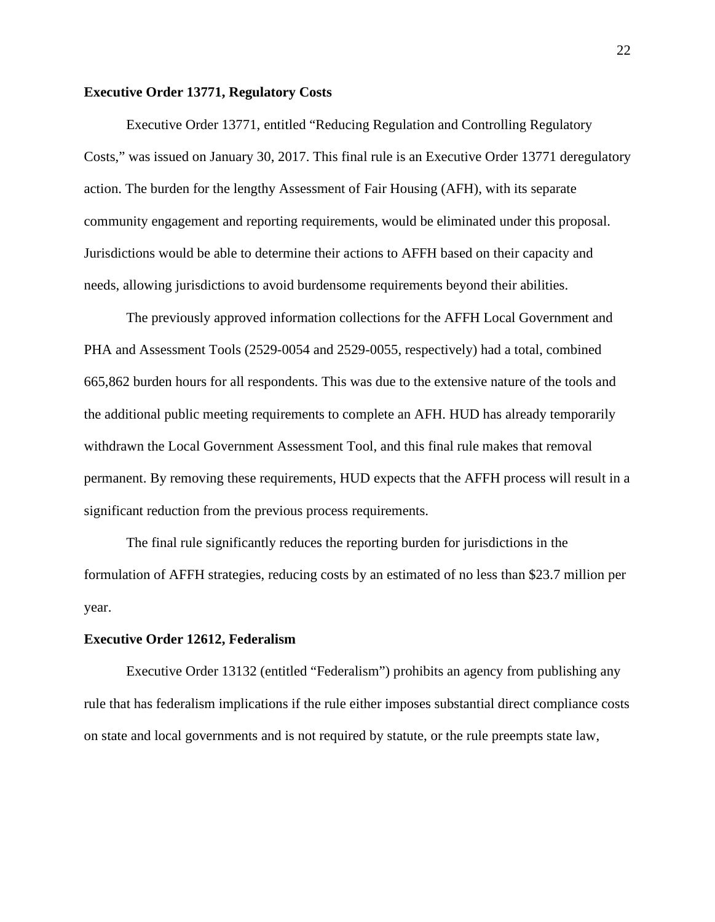#### **Executive Order 13771, Regulatory Costs**

Executive Order 13771, entitled "Reducing Regulation and Controlling Regulatory Costs," was issued on January 30, 2017. This final rule is an Executive Order 13771 deregulatory action. The burden for the lengthy Assessment of Fair Housing (AFH), with its separate community engagement and reporting requirements, would be eliminated under this proposal. Jurisdictions would be able to determine their actions to AFFH based on their capacity and needs, allowing jurisdictions to avoid burdensome requirements beyond their abilities.

The previously approved information collections for the AFFH Local Government and PHA and Assessment Tools (2529-0054 and 2529-0055, respectively) had a total, combined 665,862 burden hours for all respondents. This was due to the extensive nature of the tools and the additional public meeting requirements to complete an AFH. HUD has already temporarily withdrawn the Local Government Assessment Tool, and this final rule makes that removal permanent. By removing these requirements, HUD expects that the AFFH process will result in a significant reduction from the previous process requirements.

The final rule significantly reduces the reporting burden for jurisdictions in the formulation of AFFH strategies, reducing costs by an estimated of no less than \$23.7 million per year.

#### **Executive Order 12612, Federalism**

Executive Order 13132 (entitled "Federalism") prohibits an agency from publishing any rule that has federalism implications if the rule either imposes substantial direct compliance costs on state and local governments and is not required by statute, or the rule preempts state law,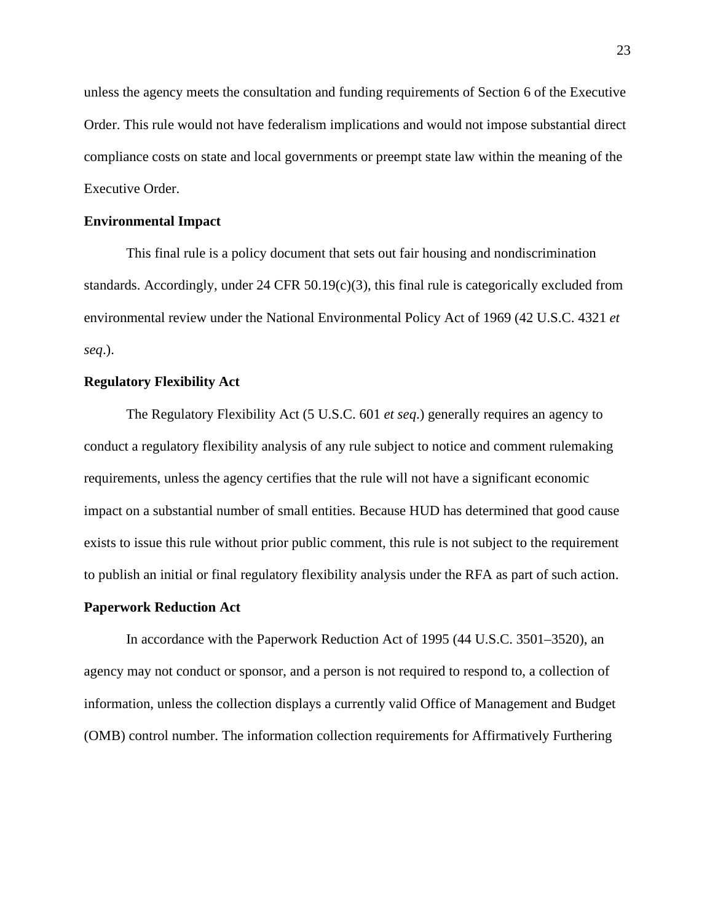unless the agency meets the consultation and funding requirements of Section 6 of the Executive Order. This rule would not have federalism implications and would not impose substantial direct compliance costs on state and local governments or preempt state law within the meaning of the Executive Order.

#### **Environmental Impact**

This final rule is a policy document that sets out fair housing and nondiscrimination standards. Accordingly, under 24 CFR 50.19(c)(3), this final rule is categorically excluded from environmental review under the National Environmental Policy Act of 1969 (42 U.S.C. 4321 *et seq*.).

### **Regulatory Flexibility Act**

The Regulatory Flexibility Act (5 U.S.C. 601 *et seq*.) generally requires an agency to conduct a regulatory flexibility analysis of any rule subject to notice and comment rulemaking requirements, unless the agency certifies that the rule will not have a significant economic impact on a substantial number of small entities. Because HUD has determined that good cause exists to issue this rule without prior public comment, this rule is not subject to the requirement to publish an initial or final regulatory flexibility analysis under the RFA as part of such action.

#### **Paperwork Reduction Act**

In accordance with the Paperwork Reduction Act of 1995 (44 U.S.C. 3501–3520), an agency may not conduct or sponsor, and a person is not required to respond to, a collection of information, unless the collection displays a currently valid Office of Management and Budget (OMB) control number. The information collection requirements for Affirmatively Furthering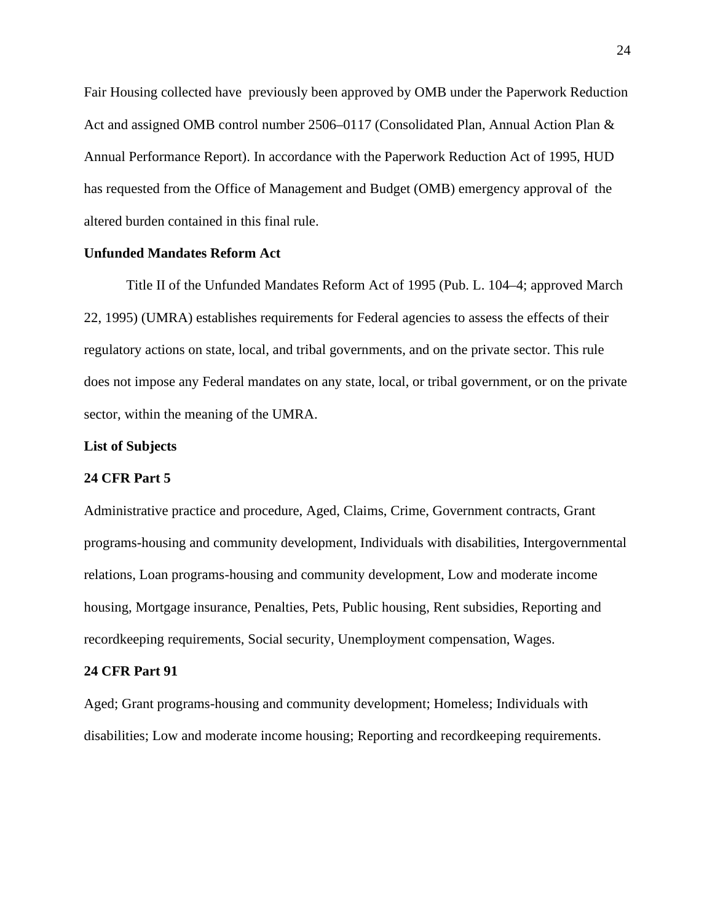Fair Housing collected have previously been approved by OMB under the Paperwork Reduction Act and assigned OMB control number 2506–0117 (Consolidated Plan, Annual Action Plan & Annual Performance Report). In accordance with the Paperwork Reduction Act of 1995, HUD has requested from the Office of Management and Budget (OMB) emergency approval of the altered burden contained in this final rule.

# **Unfunded Mandates Reform Act**

Title II of the Unfunded Mandates Reform Act of 1995 (Pub. L. 104–4; approved March 22, 1995) (UMRA) establishes requirements for Federal agencies to assess the effects of their regulatory actions on state, local, and tribal governments, and on the private sector. This rule does not impose any Federal mandates on any state, local, or tribal government, or on the private sector, within the meaning of the UMRA.

#### **List of Subjects**

#### **24 CFR Part 5**

Administrative practice and procedure, Aged, Claims, Crime, Government contracts, Grant programs-housing and community development, Individuals with disabilities, Intergovernmental relations, Loan programs-housing and community development, Low and moderate income housing, Mortgage insurance, Penalties, Pets, Public housing, Rent subsidies, Reporting and recordkeeping requirements, Social security, Unemployment compensation, Wages.

# **24 CFR Part 91**

Aged; Grant programs-housing and community development; Homeless; Individuals with disabilities; Low and moderate income housing; Reporting and recordkeeping requirements.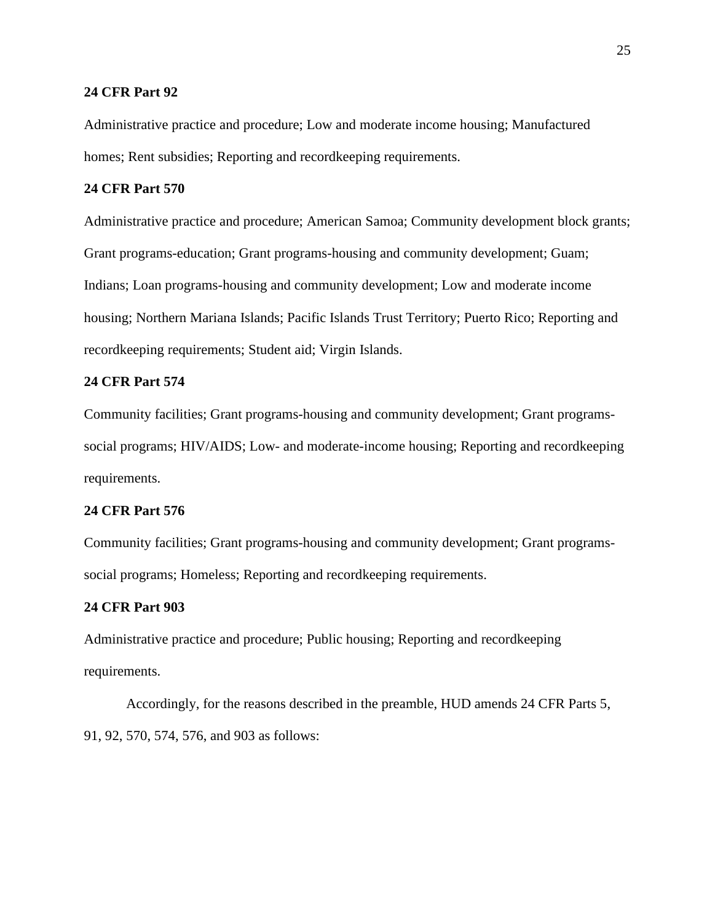#### **24 CFR Part 92**

Administrative practice and procedure; Low and moderate income housing; Manufactured homes; Rent subsidies; Reporting and recordkeeping requirements.

#### **24 CFR Part 570**

Administrative practice and procedure; American Samoa; Community development block grants; Grant programs-education; Grant programs-housing and community development; Guam; Indians; Loan programs-housing and community development; Low and moderate income housing; Northern Mariana Islands; Pacific Islands Trust Territory; Puerto Rico; Reporting and recordkeeping requirements; Student aid; Virgin Islands.

# **24 CFR Part 574**

Community facilities; Grant programs-housing and community development; Grant programssocial programs; HIV/AIDS; Low- and moderate-income housing; Reporting and recordkeeping requirements.

# **24 CFR Part 576**

Community facilities; Grant programs-housing and community development; Grant programssocial programs; Homeless; Reporting and recordkeeping requirements.

# **24 CFR Part 903**

Administrative practice and procedure; Public housing; Reporting and recordkeeping requirements.

Accordingly, for the reasons described in the preamble, HUD amends 24 CFR Parts 5, 91, 92, 570, 574, 576, and 903 as follows: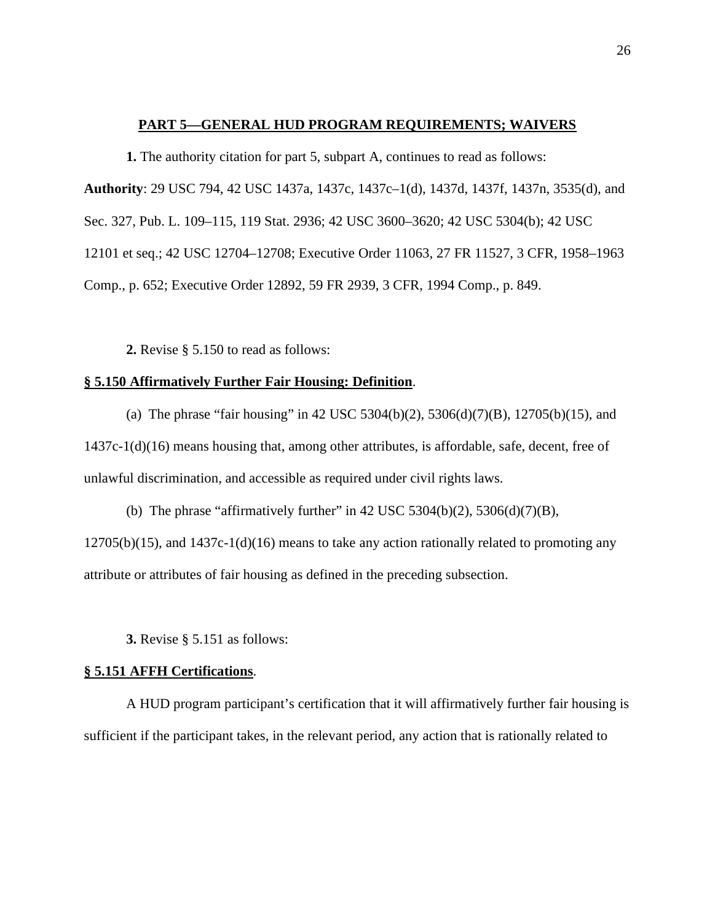#### **PART 5—GENERAL HUD PROGRAM REQUIREMENTS; WAIVERS**

**1.** The authority citation for part 5, subpart A, continues to read as follows:

**Authority**: 29 USC 794, 42 USC 1437a, 1437c, 1437c–1(d), 1437d, 1437f, 1437n, 3535(d), and Sec. 327, Pub. L. 109–115, 119 Stat. 2936; 42 USC 3600–3620; 42 USC 5304(b); 42 USC

12101 et seq.; 42 USC 12704–12708; Executive Order 11063, 27 FR 11527, 3 CFR, 1958–1963

Comp., p. 652; Executive Order 12892, 59 FR 2939, 3 CFR, 1994 Comp., p. 849.

**2.** Revise § 5.150 to read as follows:

### **§ 5.150 Affirmatively Further Fair Housing: Definition**.

(a) The phrase "fair housing" in 42 USC 5304(b)(2), 5306(d)(7)(B), 12705(b)(15), and 1437c-1(d)(16) means housing that, among other attributes, is affordable, safe, decent, free of unlawful discrimination, and accessible as required under civil rights laws.

(b) The phrase "affirmatively further" in 42 USC 5304(b)(2), 5306(d)(7)(B),  $12705(b)(15)$ , and  $1437c-1(d)(16)$  means to take any action rationally related to promoting any attribute or attributes of fair housing as defined in the preceding subsection.

**3.** Revise § 5.151 as follows:

# **§ 5.151 AFFH Certifications**.

A HUD program participant's certification that it will affirmatively further fair housing is sufficient if the participant takes, in the relevant period, any action that is rationally related to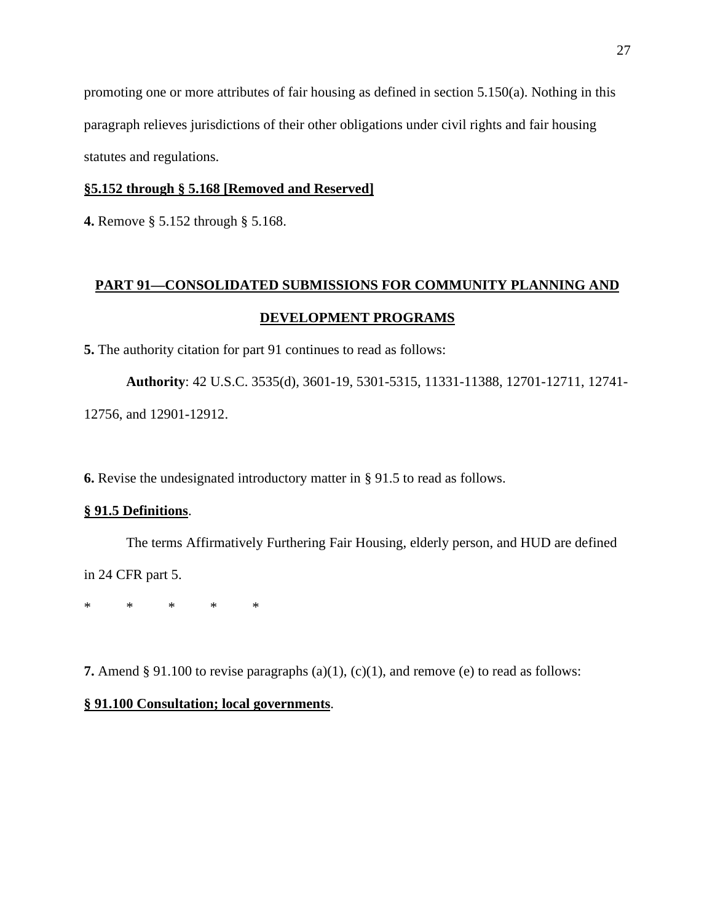promoting one or more attributes of fair housing as defined in section 5.150(a). Nothing in this paragraph relieves jurisdictions of their other obligations under civil rights and fair housing statutes and regulations.

# **§5.152 through § 5.168 [Removed and Reserved]**

**4.** Remove § 5.152 through § 5.168.

# **PART 91—CONSOLIDATED SUBMISSIONS FOR COMMUNITY PLANNING AND DEVELOPMENT PROGRAMS**

**5.** The authority citation for part 91 continues to read as follows:

**Authority**: 42 U.S.C. 3535(d), 3601-19, 5301-5315, 11331-11388, 12701-12711, 12741- 12756, and 12901-12912.

**6.** Revise the undesignated introductory matter in § 91.5 to read as follows.

## **§ 91.5 Definitions**.

The terms Affirmatively Furthering Fair Housing, elderly person, and HUD are defined in 24 CFR part 5.

\* \* \* \* \*

**7.** Amend § 91.100 to revise paragraphs (a)(1), (c)(1), and remove (e) to read as follows:

# **§ 91.100 Consultation; local governments**.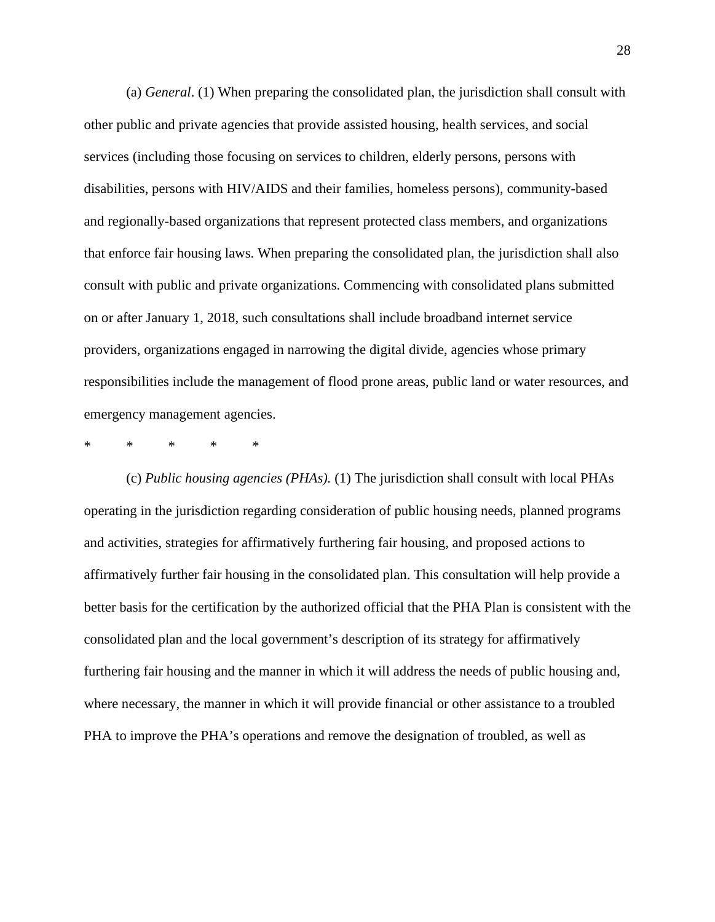(a) *General*. (1) When preparing the consolidated plan, the jurisdiction shall consult with other public and private agencies that provide assisted housing, health services, and social services (including those focusing on services to children, elderly persons, persons with disabilities, persons with HIV/AIDS and their families, homeless persons), community-based and regionally-based organizations that represent protected class members, and organizations that enforce fair housing laws. When preparing the consolidated plan, the jurisdiction shall also consult with public and private organizations. Commencing with consolidated plans submitted on or after January 1, 2018, such consultations shall include broadband internet service providers, organizations engaged in narrowing the digital divide, agencies whose primary responsibilities include the management of flood prone areas, public land or water resources, and emergency management agencies.

\* \* \* \* \*

(c) *Public housing agencies (PHAs).* (1) The jurisdiction shall consult with local PHAs operating in the jurisdiction regarding consideration of public housing needs, planned programs and activities, strategies for affirmatively furthering fair housing, and proposed actions to affirmatively further fair housing in the consolidated plan. This consultation will help provide a better basis for the certification by the authorized official that the PHA Plan is consistent with the consolidated plan and the local government's description of its strategy for affirmatively furthering fair housing and the manner in which it will address the needs of public housing and, where necessary, the manner in which it will provide financial or other assistance to a troubled PHA to improve the PHA's operations and remove the designation of troubled, as well as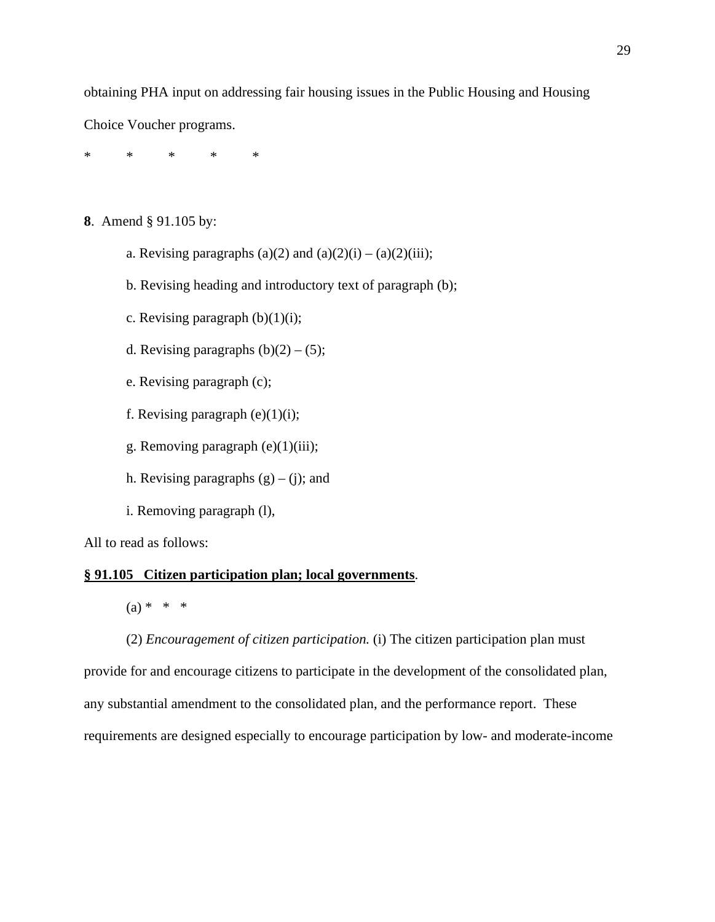obtaining PHA input on addressing fair housing issues in the Public Housing and Housing

Choice Voucher programs.

\* \* \* \* \*

- **8**. Amend § 91.105 by:
	- a. Revising paragraphs (a)(2) and (a)(2)(i) (a)(2)(iii);
	- b. Revising heading and introductory text of paragraph (b);
	- c. Revising paragraph  $(b)(1)(i)$ ;
	- d. Revising paragraphs  $(b)(2) (5)$ ;
	- e. Revising paragraph (c);
	- f. Revising paragraph  $(e)(1)(i)$ ;
	- g. Removing paragraph (e)(1)(iii);
	- h. Revising paragraphs  $(g) (i)$ ; and
	- i. Removing paragraph (l),

All to read as follows:

# **§ 91.105 Citizen participation plan; local governments**.

 $(a) * * * *$ 

(2) *Encouragement of citizen participation.* (i) The citizen participation plan must provide for and encourage citizens to participate in the development of the consolidated plan, any substantial amendment to the consolidated plan, and the performance report. These requirements are designed especially to encourage participation by low- and moderate-income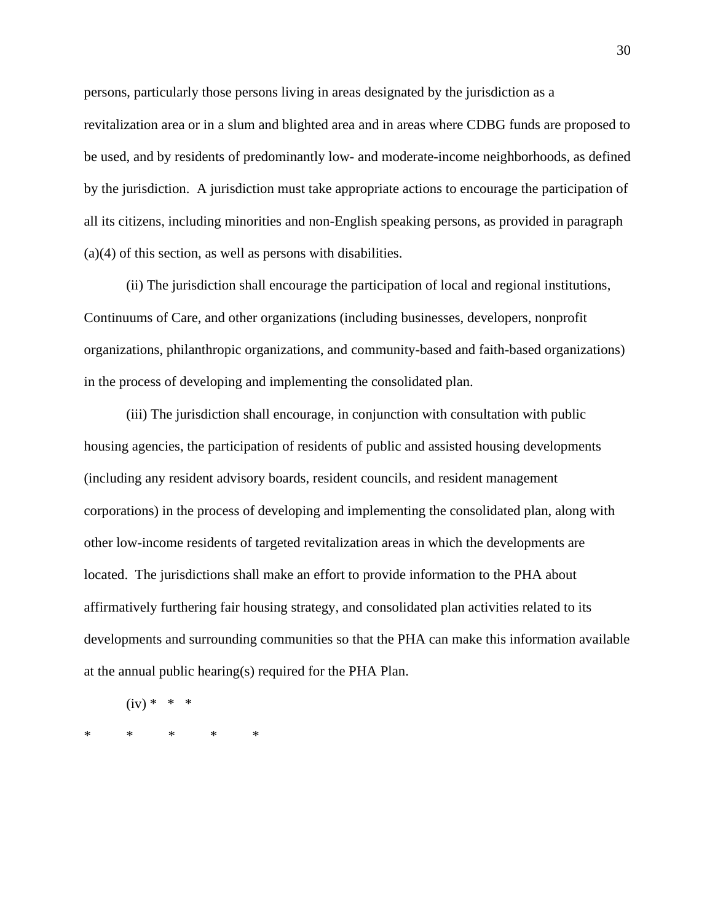persons, particularly those persons living in areas designated by the jurisdiction as a revitalization area or in a slum and blighted area and in areas where CDBG funds are proposed to be used, and by residents of predominantly low- and moderate-income neighborhoods, as defined by the jurisdiction. A jurisdiction must take appropriate actions to encourage the participation of all its citizens, including minorities and non-English speaking persons, as provided in paragraph (a)(4) of this section, as well as persons with disabilities.

(ii) The jurisdiction shall encourage the participation of local and regional institutions, Continuums of Care, and other organizations (including businesses, developers, nonprofit organizations, philanthropic organizations, and community-based and faith-based organizations) in the process of developing and implementing the consolidated plan.

(iii) The jurisdiction shall encourage, in conjunction with consultation with public housing agencies, the participation of residents of public and assisted housing developments (including any resident advisory boards, resident councils, and resident management corporations) in the process of developing and implementing the consolidated plan, along with other low-income residents of targeted revitalization areas in which the developments are located. The jurisdictions shall make an effort to provide information to the PHA about affirmatively furthering fair housing strategy, and consolidated plan activities related to its developments and surrounding communities so that the PHA can make this information available at the annual public hearing(s) required for the PHA Plan.

 $(iv) * * * *$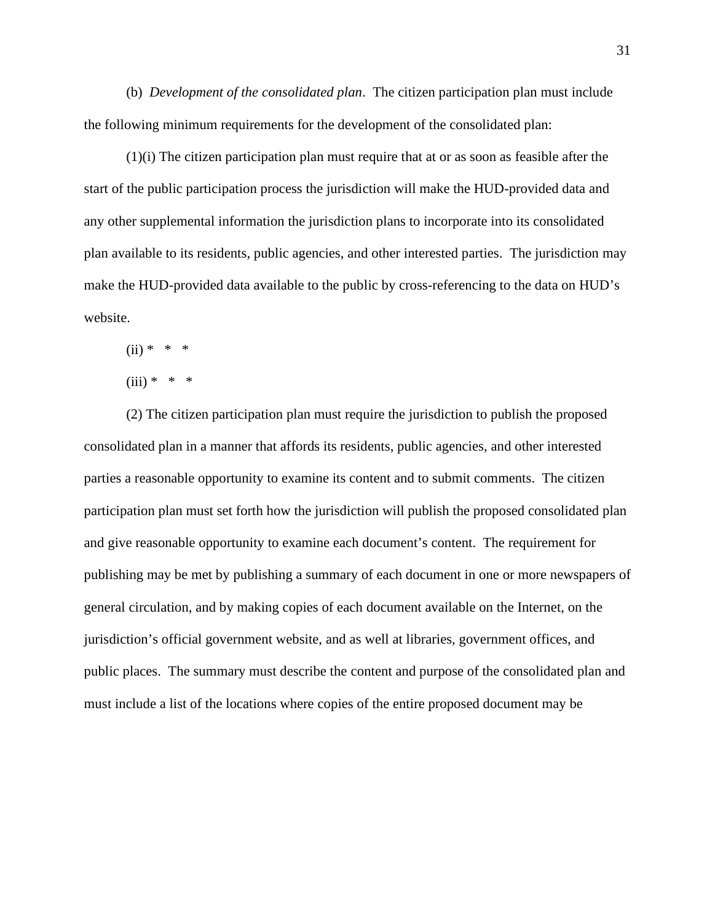(b) *Development of the consolidated plan*. The citizen participation plan must include the following minimum requirements for the development of the consolidated plan:

(1)(i) The citizen participation plan must require that at or as soon as feasible after the start of the public participation process the jurisdiction will make the HUD-provided data and any other supplemental information the jurisdiction plans to incorporate into its consolidated plan available to its residents, public agencies, and other interested parties. The jurisdiction may make the HUD-provided data available to the public by cross-referencing to the data on HUD's website.

 $(ii) * * * *$ 

$$
(iii) * * * *
$$

(2) The citizen participation plan must require the jurisdiction to publish the proposed consolidated plan in a manner that affords its residents, public agencies, and other interested parties a reasonable opportunity to examine its content and to submit comments. The citizen participation plan must set forth how the jurisdiction will publish the proposed consolidated plan and give reasonable opportunity to examine each document's content. The requirement for publishing may be met by publishing a summary of each document in one or more newspapers of general circulation, and by making copies of each document available on the Internet, on the jurisdiction's official government website, and as well at libraries, government offices, and public places. The summary must describe the content and purpose of the consolidated plan and must include a list of the locations where copies of the entire proposed document may be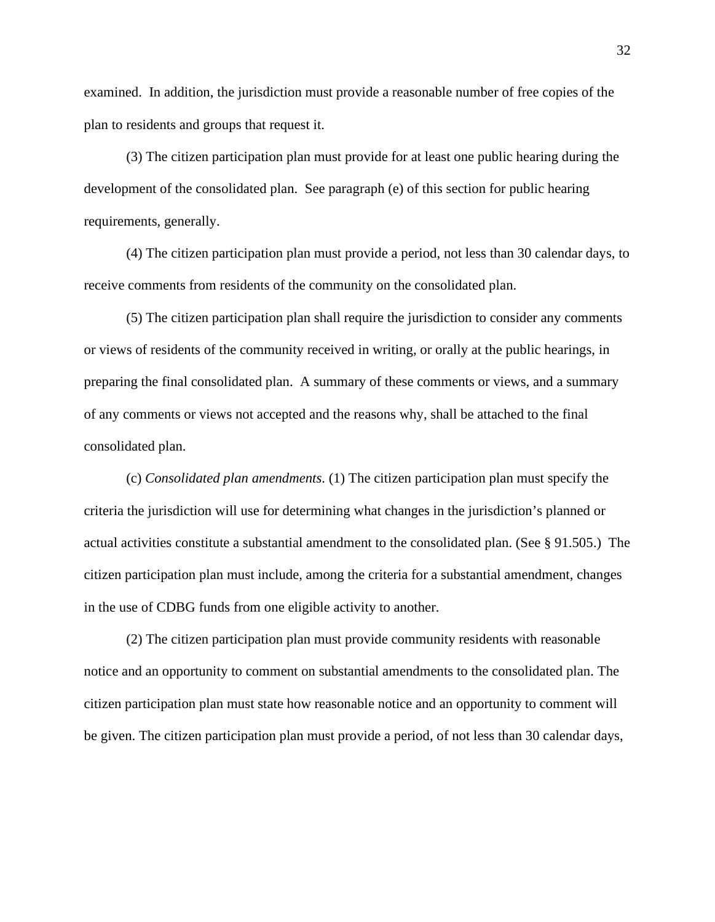examined. In addition, the jurisdiction must provide a reasonable number of free copies of the plan to residents and groups that request it.

(3) The citizen participation plan must provide for at least one public hearing during the development of the consolidated plan. See paragraph (e) of this section for public hearing requirements, generally.

(4) The citizen participation plan must provide a period, not less than 30 calendar days, to receive comments from residents of the community on the consolidated plan.

(5) The citizen participation plan shall require the jurisdiction to consider any comments or views of residents of the community received in writing, or orally at the public hearings, in preparing the final consolidated plan. A summary of these comments or views, and a summary of any comments or views not accepted and the reasons why, shall be attached to the final consolidated plan.

(c) *Consolidated plan amendments*. (1) The citizen participation plan must specify the criteria the jurisdiction will use for determining what changes in the jurisdiction's planned or actual activities constitute a substantial amendment to the consolidated plan. (See § 91.505.) The citizen participation plan must include, among the criteria for a substantial amendment, changes in the use of CDBG funds from one eligible activity to another.

(2) The citizen participation plan must provide community residents with reasonable notice and an opportunity to comment on substantial amendments to the consolidated plan. The citizen participation plan must state how reasonable notice and an opportunity to comment will be given. The citizen participation plan must provide a period, of not less than 30 calendar days,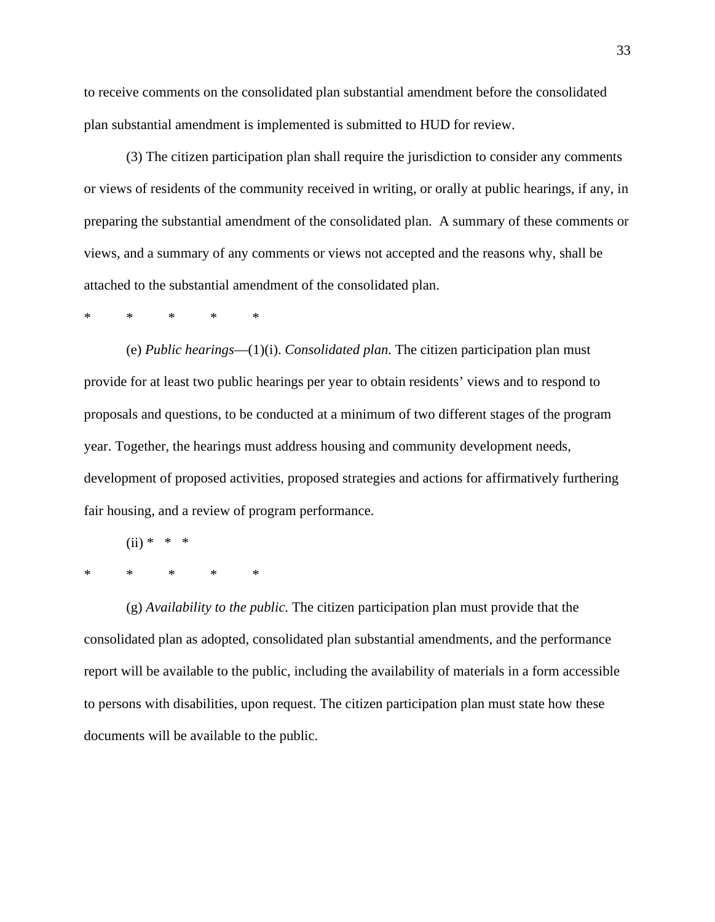to receive comments on the consolidated plan substantial amendment before the consolidated plan substantial amendment is implemented is submitted to HUD for review.

(3) The citizen participation plan shall require the jurisdiction to consider any comments or views of residents of the community received in writing, or orally at public hearings, if any, in preparing the substantial amendment of the consolidated plan. A summary of these comments or views, and a summary of any comments or views not accepted and the reasons why, shall be attached to the substantial amendment of the consolidated plan.

# \* \* \* \* \*

(e) *Public hearings*—(1)(i). *Consolidated plan.* The citizen participation plan must provide for at least two public hearings per year to obtain residents' views and to respond to proposals and questions, to be conducted at a minimum of two different stages of the program year. Together, the hearings must address housing and community development needs, development of proposed activities, proposed strategies and actions for affirmatively furthering fair housing, and a review of program performance.

(ii) \* \* \* \* \* \* \* \*

(g) *Availability to the public*. The citizen participation plan must provide that the consolidated plan as adopted, consolidated plan substantial amendments, and the performance report will be available to the public, including the availability of materials in a form accessible to persons with disabilities, upon request. The citizen participation plan must state how these documents will be available to the public.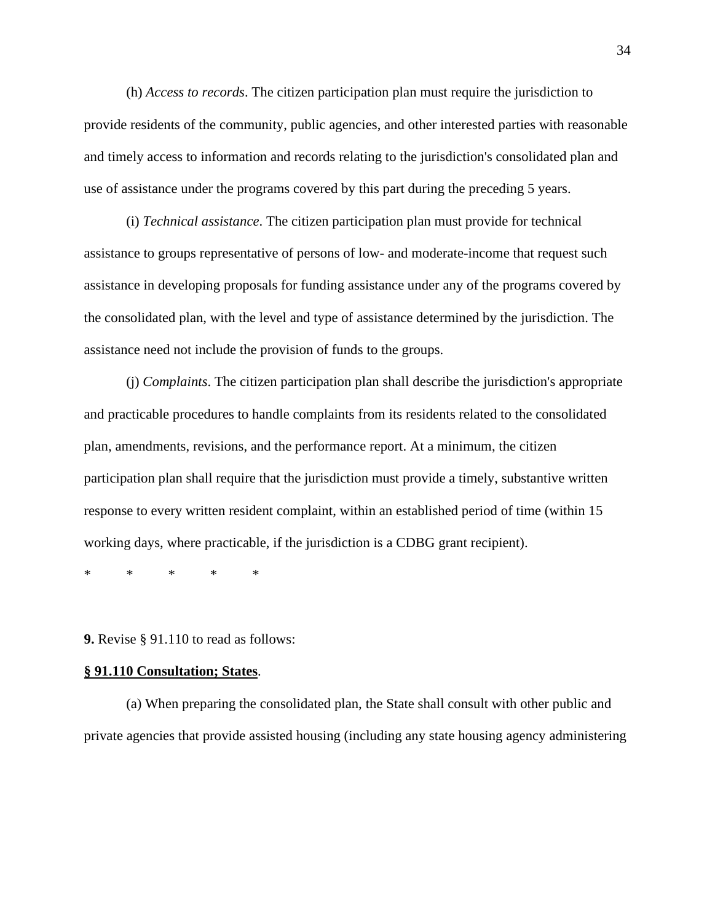(h) *Access to records*. The citizen participation plan must require the jurisdiction to provide residents of the community, public agencies, and other interested parties with reasonable and timely access to information and records relating to the jurisdiction's consolidated plan and use of assistance under the programs covered by this part during the preceding 5 years.

(i) *Technical assistance*. The citizen participation plan must provide for technical assistance to groups representative of persons of low- and moderate-income that request such assistance in developing proposals for funding assistance under any of the programs covered by the consolidated plan, with the level and type of assistance determined by the jurisdiction. The assistance need not include the provision of funds to the groups.

(j) *Complaints*. The citizen participation plan shall describe the jurisdiction's appropriate and practicable procedures to handle complaints from its residents related to the consolidated plan, amendments, revisions, and the performance report. At a minimum, the citizen participation plan shall require that the jurisdiction must provide a timely, substantive written response to every written resident complaint, within an established period of time (within 15 working days, where practicable, if the jurisdiction is a CDBG grant recipient).

\* \* \* \* \*

**9.** Revise § 91.110 to read as follows:

# **§ 91.110 Consultation; States**.

(a) When preparing the consolidated plan, the State shall consult with other public and private agencies that provide assisted housing (including any state housing agency administering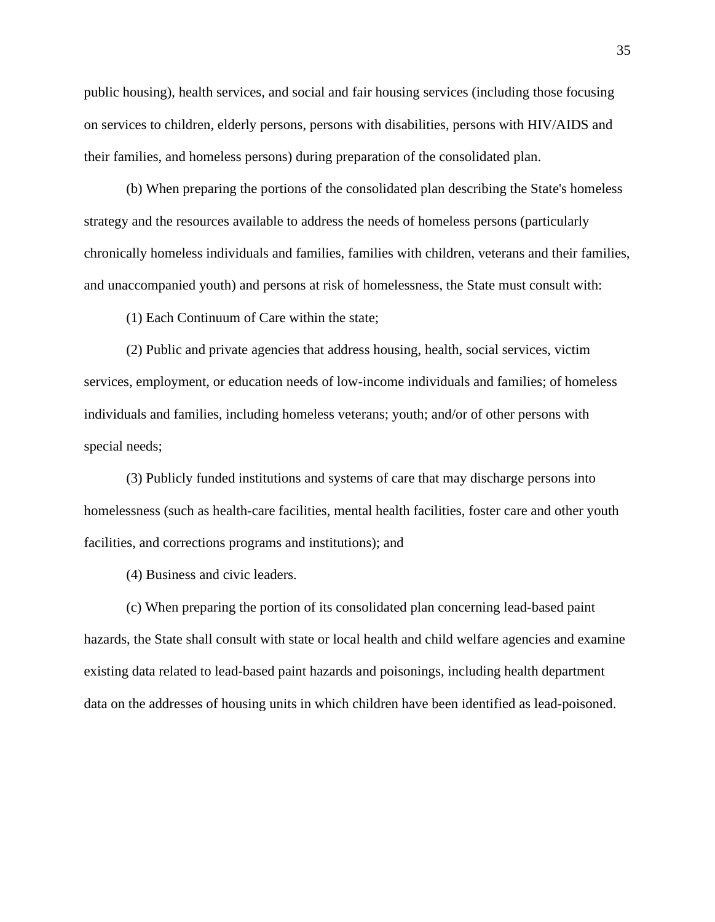public housing), health services, and social and fair housing services (including those focusing on services to children, elderly persons, persons with disabilities, persons with HIV/AIDS and their families, and homeless persons) during preparation of the consolidated plan.

(b) When preparing the portions of the consolidated plan describing the State's homeless strategy and the resources available to address the needs of homeless persons (particularly chronically homeless individuals and families, families with children, veterans and their families, and unaccompanied youth) and persons at risk of homelessness, the State must consult with:

(1) Each Continuum of Care within the state;

(2) Public and private agencies that address housing, health, social services, victim services, employment, or education needs of low-income individuals and families; of homeless individuals and families, including homeless veterans; youth; and/or of other persons with special needs;

(3) Publicly funded institutions and systems of care that may discharge persons into homelessness (such as health-care facilities, mental health facilities, foster care and other youth facilities, and corrections programs and institutions); and

(4) Business and civic leaders.

(c) When preparing the portion of its consolidated plan concerning lead-based paint hazards, the State shall consult with state or local health and child welfare agencies and examine existing data related to lead-based paint hazards and poisonings, including health department data on the addresses of housing units in which children have been identified as lead-poisoned.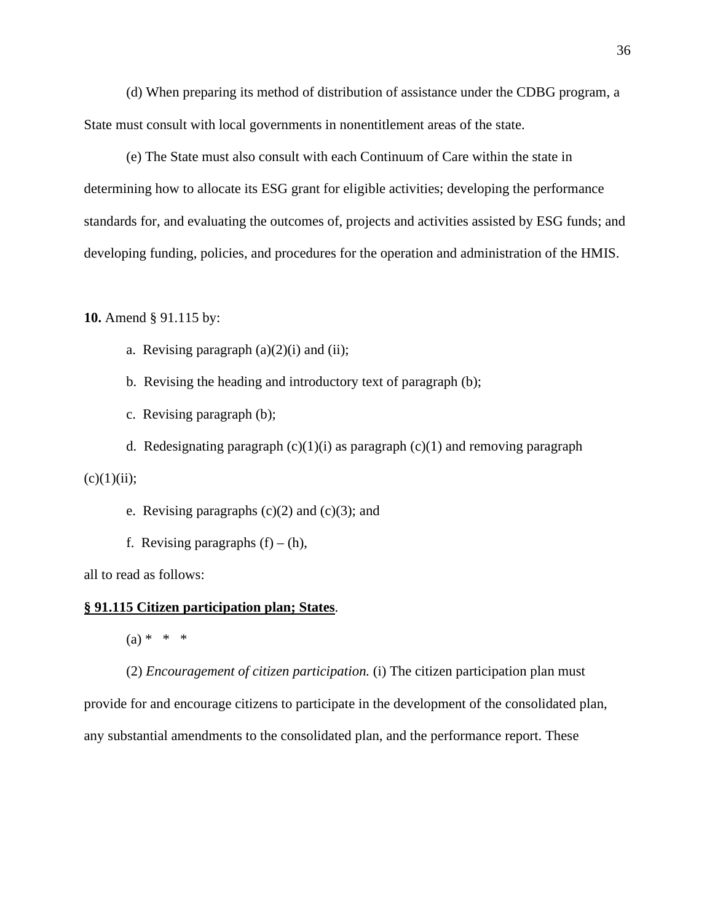(d) When preparing its method of distribution of assistance under the CDBG program, a State must consult with local governments in nonentitlement areas of the state.

(e) The State must also consult with each Continuum of Care within the state in determining how to allocate its ESG grant for eligible activities; developing the performance standards for, and evaluating the outcomes of, projects and activities assisted by ESG funds; and developing funding, policies, and procedures for the operation and administration of the HMIS.

#### **10.** Amend § 91.115 by:

a. Revising paragraph  $(a)(2)(i)$  and  $(ii)$ ;

b. Revising the heading and introductory text of paragraph (b);

c. Revising paragraph (b);

d. Redesignating paragraph  $(c)(1)(i)$  as paragraph  $(c)(1)$  and removing paragraph

 $(c)(1)(ii);$ 

e. Revising paragraphs  $(c)(2)$  and  $(c)(3)$ ; and

f. Revising paragraphs  $(f) - (h)$ ,

all to read as follows:

# **§ 91.115 Citizen participation plan; States**.

 $(a) * * * *$ 

(2) *Encouragement of citizen participation.* (i) The citizen participation plan must provide for and encourage citizens to participate in the development of the consolidated plan, any substantial amendments to the consolidated plan, and the performance report. These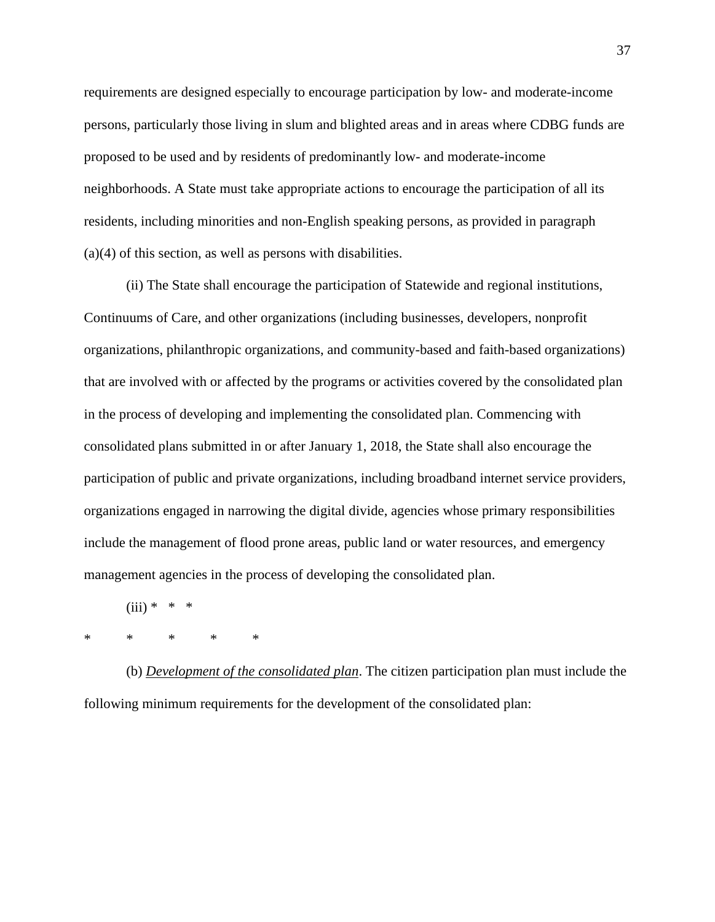requirements are designed especially to encourage participation by low- and moderate-income persons, particularly those living in slum and blighted areas and in areas where CDBG funds are proposed to be used and by residents of predominantly low- and moderate-income neighborhoods. A State must take appropriate actions to encourage the participation of all its residents, including minorities and non-English speaking persons, as provided in paragraph (a)(4) of this section, as well as persons with disabilities.

(ii) The State shall encourage the participation of Statewide and regional institutions, Continuums of Care, and other organizations (including businesses, developers, nonprofit organizations, philanthropic organizations, and community-based and faith-based organizations) that are involved with or affected by the programs or activities covered by the consolidated plan in the process of developing and implementing the consolidated plan. Commencing with consolidated plans submitted in or after January 1, 2018, the State shall also encourage the participation of public and private organizations, including broadband internet service providers, organizations engaged in narrowing the digital divide, agencies whose primary responsibilities include the management of flood prone areas, public land or water resources, and emergency management agencies in the process of developing the consolidated plan.

 $(iii) * * *$ 

\* \* \* \* \*

(b) *Development of the consolidated plan*. The citizen participation plan must include the following minimum requirements for the development of the consolidated plan: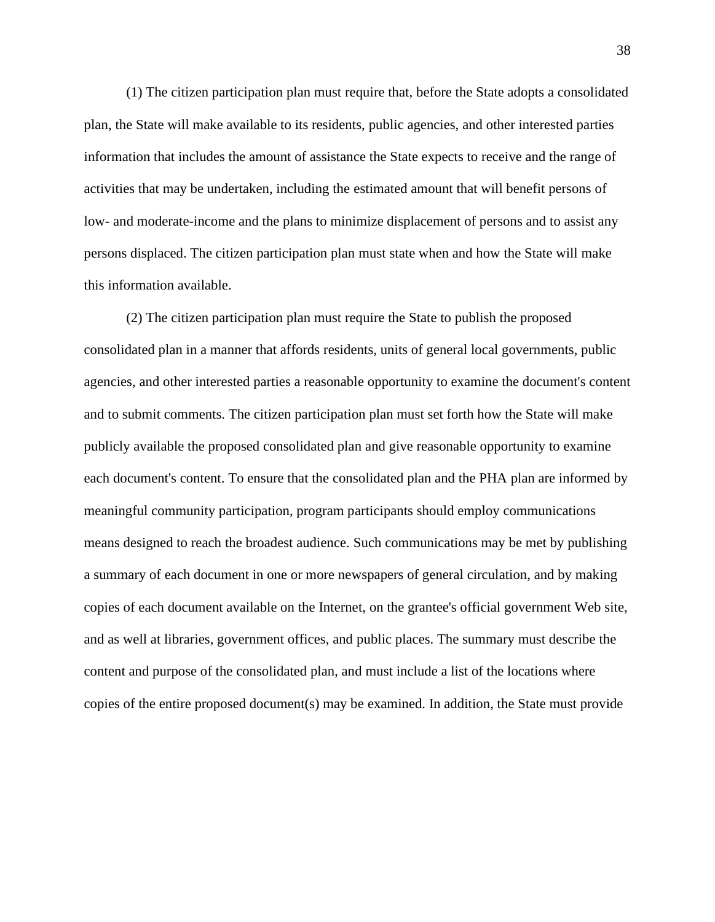(1) The citizen participation plan must require that, before the State adopts a consolidated plan, the State will make available to its residents, public agencies, and other interested parties information that includes the amount of assistance the State expects to receive and the range of activities that may be undertaken, including the estimated amount that will benefit persons of low- and moderate-income and the plans to minimize displacement of persons and to assist any persons displaced. The citizen participation plan must state when and how the State will make this information available.

(2) The citizen participation plan must require the State to publish the proposed consolidated plan in a manner that affords residents, units of general local governments, public agencies, and other interested parties a reasonable opportunity to examine the document's content and to submit comments. The citizen participation plan must set forth how the State will make publicly available the proposed consolidated plan and give reasonable opportunity to examine each document's content. To ensure that the consolidated plan and the PHA plan are informed by meaningful community participation, program participants should employ communications means designed to reach the broadest audience. Such communications may be met by publishing a summary of each document in one or more newspapers of general circulation, and by making copies of each document available on the Internet, on the grantee's official government Web site, and as well at libraries, government offices, and public places. The summary must describe the content and purpose of the consolidated plan, and must include a list of the locations where copies of the entire proposed document(s) may be examined. In addition, the State must provide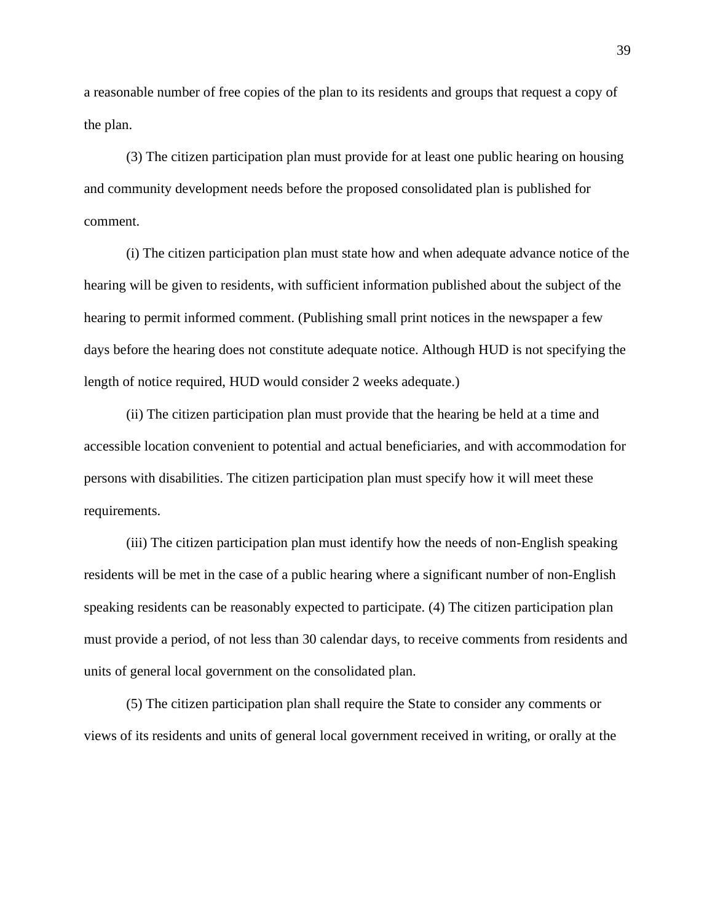a reasonable number of free copies of the plan to its residents and groups that request a copy of the plan.

(3) The citizen participation plan must provide for at least one public hearing on housing and community development needs before the proposed consolidated plan is published for comment.

(i) The citizen participation plan must state how and when adequate advance notice of the hearing will be given to residents, with sufficient information published about the subject of the hearing to permit informed comment. (Publishing small print notices in the newspaper a few days before the hearing does not constitute adequate notice. Although HUD is not specifying the length of notice required, HUD would consider 2 weeks adequate.)

(ii) The citizen participation plan must provide that the hearing be held at a time and accessible location convenient to potential and actual beneficiaries, and with accommodation for persons with disabilities. The citizen participation plan must specify how it will meet these requirements.

(iii) The citizen participation plan must identify how the needs of non-English speaking residents will be met in the case of a public hearing where a significant number of non-English speaking residents can be reasonably expected to participate. (4) The citizen participation plan must provide a period, of not less than 30 calendar days, to receive comments from residents and units of general local government on the consolidated plan.

(5) The citizen participation plan shall require the State to consider any comments or views of its residents and units of general local government received in writing, or orally at the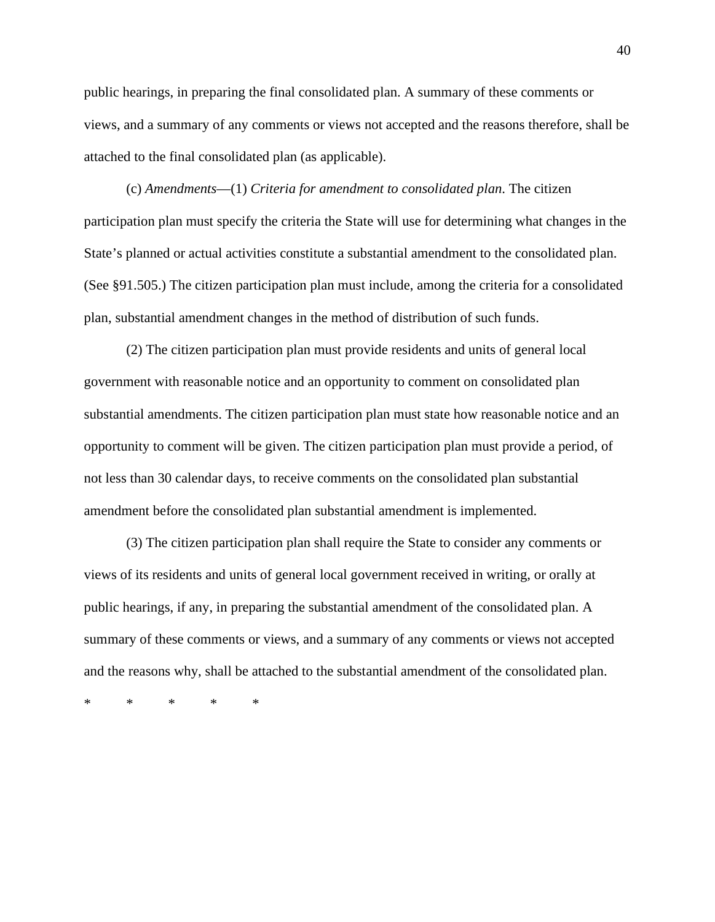public hearings, in preparing the final consolidated plan. A summary of these comments or views, and a summary of any comments or views not accepted and the reasons therefore, shall be attached to the final consolidated plan (as applicable).

(c) *Amendments*—(1) *Criteria for amendment to consolidated plan*. The citizen participation plan must specify the criteria the State will use for determining what changes in the State's planned or actual activities constitute a substantial amendment to the consolidated plan. (See §91.505.) The citizen participation plan must include, among the criteria for a consolidated plan, substantial amendment changes in the method of distribution of such funds.

(2) The citizen participation plan must provide residents and units of general local government with reasonable notice and an opportunity to comment on consolidated plan substantial amendments. The citizen participation plan must state how reasonable notice and an opportunity to comment will be given. The citizen participation plan must provide a period, of not less than 30 calendar days, to receive comments on the consolidated plan substantial amendment before the consolidated plan substantial amendment is implemented.

(3) The citizen participation plan shall require the State to consider any comments or views of its residents and units of general local government received in writing, or orally at public hearings, if any, in preparing the substantial amendment of the consolidated plan. A summary of these comments or views, and a summary of any comments or views not accepted and the reasons why, shall be attached to the substantial amendment of the consolidated plan.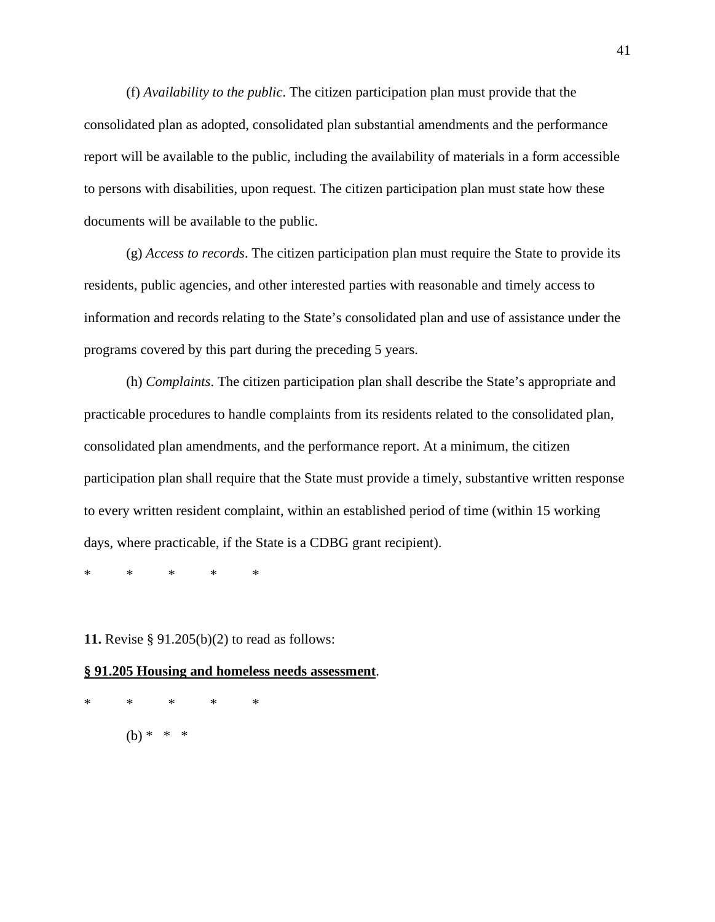(f) *Availability to the public*. The citizen participation plan must provide that the consolidated plan as adopted, consolidated plan substantial amendments and the performance report will be available to the public, including the availability of materials in a form accessible to persons with disabilities, upon request. The citizen participation plan must state how these documents will be available to the public.

(g) *Access to records*. The citizen participation plan must require the State to provide its residents, public agencies, and other interested parties with reasonable and timely access to information and records relating to the State's consolidated plan and use of assistance under the programs covered by this part during the preceding 5 years.

(h) *Complaints*. The citizen participation plan shall describe the State's appropriate and practicable procedures to handle complaints from its residents related to the consolidated plan, consolidated plan amendments, and the performance report. At a minimum, the citizen participation plan shall require that the State must provide a timely, substantive written response to every written resident complaint, within an established period of time (within 15 working days, where practicable, if the State is a CDBG grant recipient).

\* \* \* \* \*

**11.** Revise § 91.205(b)(2) to read as follows:

#### **§ 91.205 Housing and homeless needs assessment**.

\* \* \* \* \*  $(h) * * * *$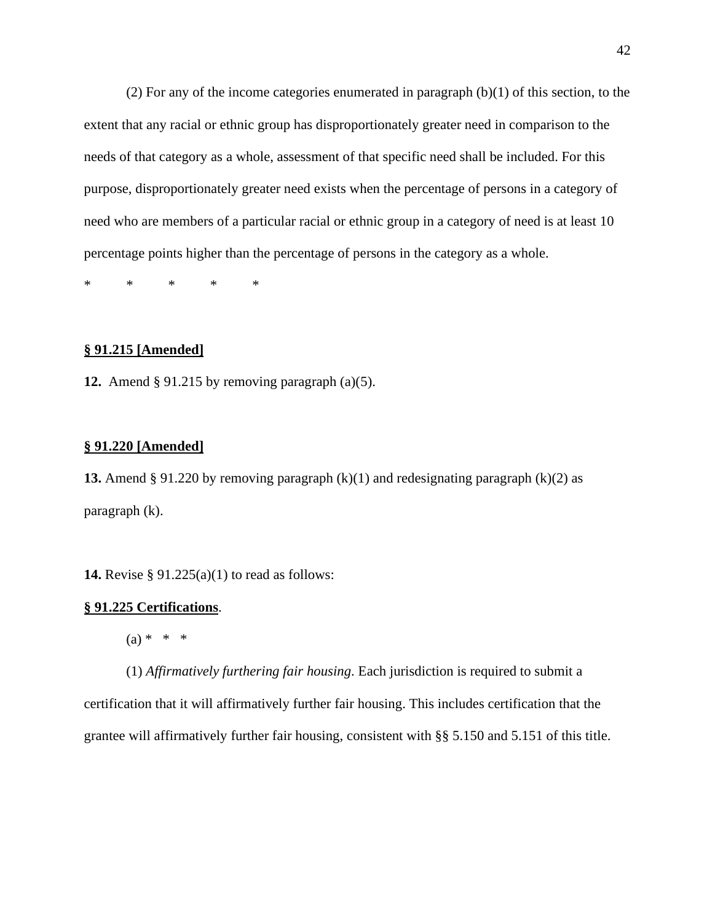(2) For any of the income categories enumerated in paragraph (b)(1) of this section, to the extent that any racial or ethnic group has disproportionately greater need in comparison to the needs of that category as a whole, assessment of that specific need shall be included. For this purpose, disproportionately greater need exists when the percentage of persons in a category of need who are members of a particular racial or ethnic group in a category of need is at least 10 percentage points higher than the percentage of persons in the category as a whole.

\* \* \* \* \*

#### **§ 91.215 [Amended]**

**12.** Amend § 91.215 by removing paragraph (a)(5).

#### **§ 91.220 [Amended]**

**13.** Amend § 91.220 by removing paragraph (k)(1) and redesignating paragraph (k)(2) as paragraph (k).

**14.** Revise § 91.225(a)(1) to read as follows:

#### **§ 91.225 Certifications**.

 $(a) * * * *$ 

(1) *Affirmatively furthering fair housing*. Each jurisdiction is required to submit a certification that it will affirmatively further fair housing. This includes certification that the grantee will affirmatively further fair housing, consistent with §§ 5.150 and 5.151 of this title.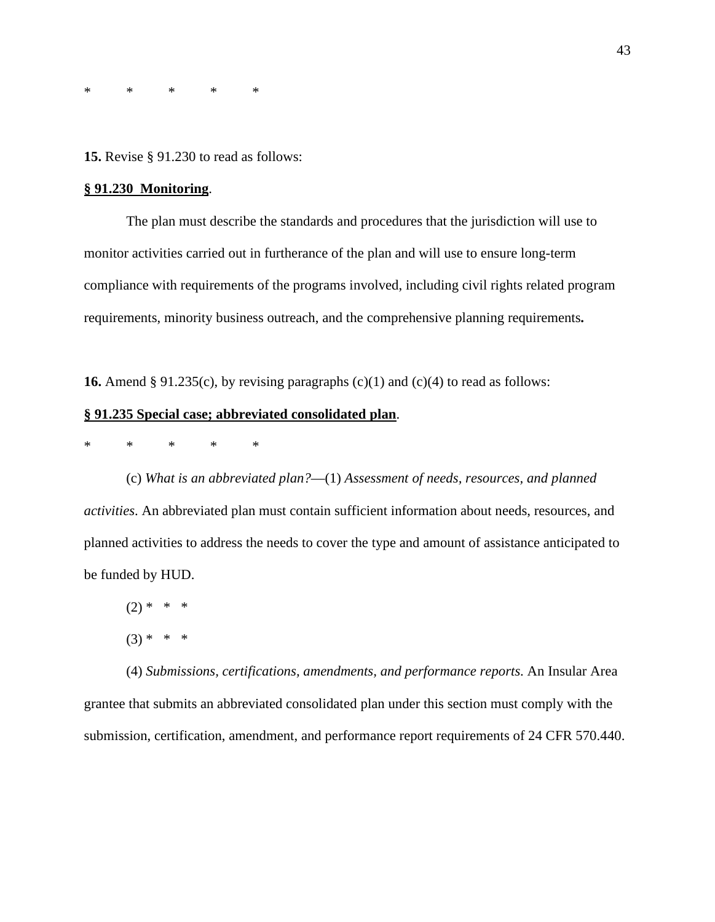\* \* \* \* \*

**15.** Revise § 91.230 to read as follows:

#### **§ 91.230 Monitoring**.

The plan must describe the standards and procedures that the jurisdiction will use to monitor activities carried out in furtherance of the plan and will use to ensure long-term compliance with requirements of the programs involved, including civil rights related program requirements, minority business outreach, and the comprehensive planning requirements**.** 

**16.** Amend § 91.235(c), by revising paragraphs  $(c)(1)$  and  $(c)(4)$  to read as follows:

# **§ 91.235 Special case; abbreviated consolidated plan**.

\* \* \* \* \*

(c) *What is an abbreviated plan?*—(1) *Assessment of needs, resources, and planned activities*. An abbreviated plan must contain sufficient information about needs, resources, and planned activities to address the needs to cover the type and amount of assistance anticipated to be funded by HUD.

 $(2) * * * *$ 

 $(3) * * * *$ 

(4) *Submissions, certifications, amendments, and performance reports*. An Insular Area grantee that submits an abbreviated consolidated plan under this section must comply with the submission, certification, amendment, and performance report requirements of 24 CFR 570.440.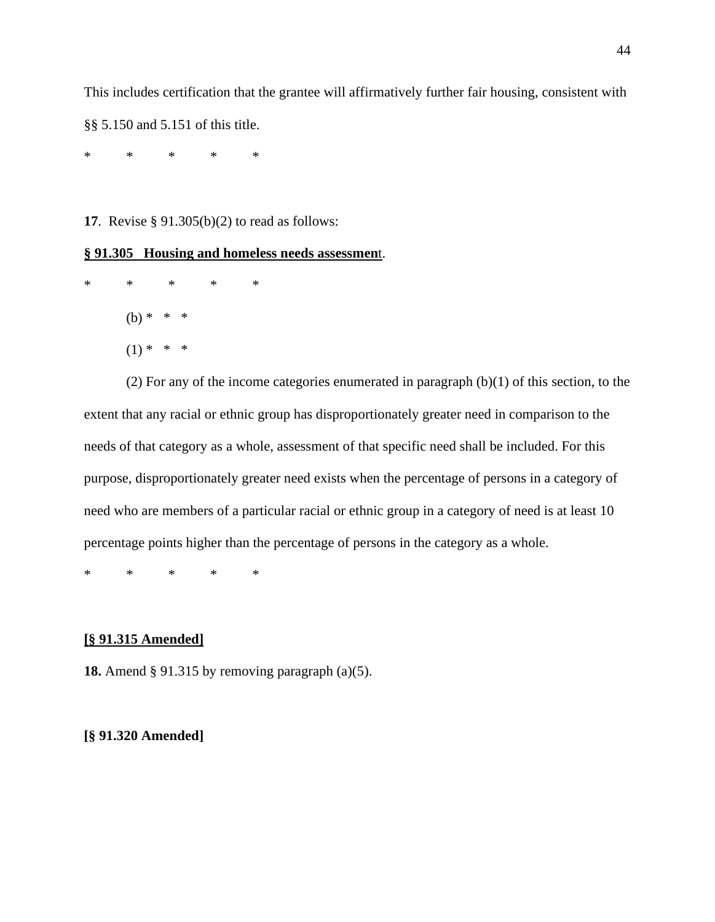This includes certification that the grantee will affirmatively further fair housing, consistent with §§ 5.150 and 5.151 of this title.

\* \* \* \* \*

**17**. Revise § 91.305(b)(2) to read as follows:

# **§ 91.305 Housing and homeless needs assessmen**t.

\* \* \* \* \*  $(b) * * * *$  $(1) * * * *$ 

(2) For any of the income categories enumerated in paragraph (b)(1) of this section, to the extent that any racial or ethnic group has disproportionately greater need in comparison to the needs of that category as a whole, assessment of that specific need shall be included. For this purpose, disproportionately greater need exists when the percentage of persons in a category of need who are members of a particular racial or ethnic group in a category of need is at least 10 percentage points higher than the percentage of persons in the category as a whole.

\* \* \* \* \*

#### **[§ 91.315 Amended]**

**18.** Amend § 91.315 by removing paragraph (a)(5).

#### **[§ 91.320 Amended]**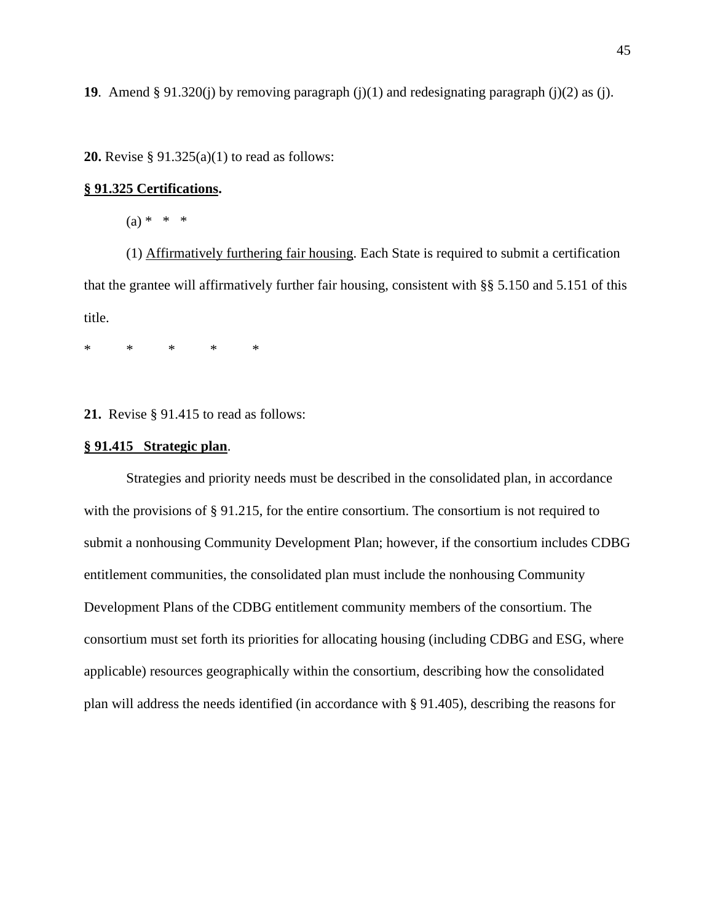**19**. Amend § 91.320(j) by removing paragraph (j)(1) and redesignating paragraph (j)(2) as (j).

**20.** Revise § 91.325(a)(1) to read as follows:

#### **§ 91.325 Certifications.**

 $(a) * * * *$ 

(1) Affirmatively furthering fair housing. Each State is required to submit a certification that the grantee will affirmatively further fair housing, consistent with §§ 5.150 and 5.151 of this title.

\* \* \* \* \*

**21.** Revise § 91.415 to read as follows:

#### **§ 91.415 Strategic plan**.

Strategies and priority needs must be described in the consolidated plan, in accordance with the provisions of § 91.215, for the entire consortium. The consortium is not required to submit a nonhousing Community Development Plan; however, if the consortium includes CDBG entitlement communities, the consolidated plan must include the nonhousing Community Development Plans of the CDBG entitlement community members of the consortium. The consortium must set forth its priorities for allocating housing (including CDBG and ESG, where applicable) resources geographically within the consortium, describing how the consolidated plan will address the needs identified (in accordance with § 91.405), describing the reasons for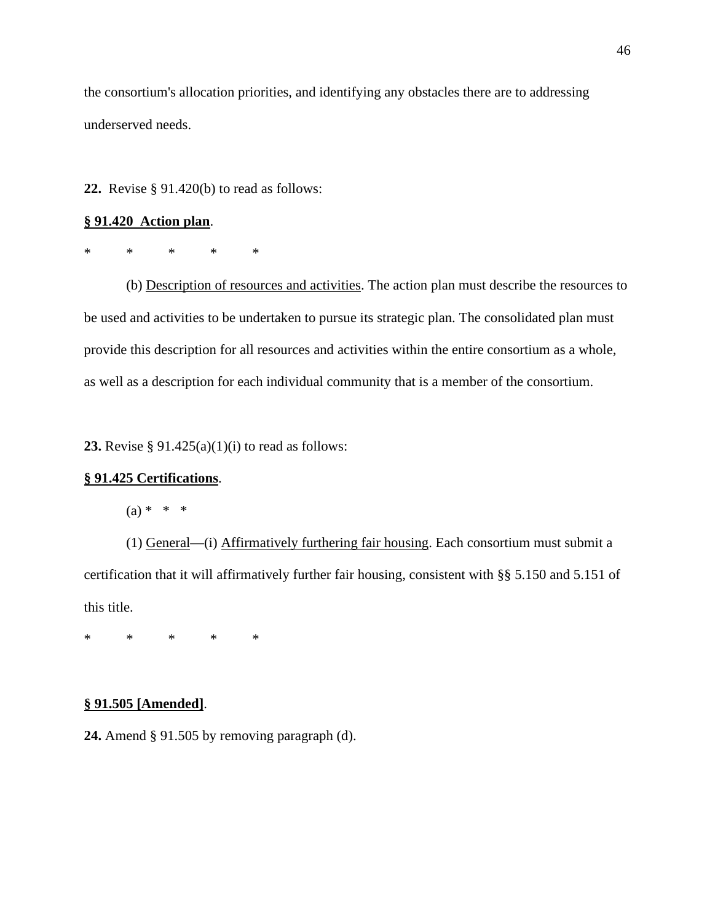the consortium's allocation priorities, and identifying any obstacles there are to addressing underserved needs.

**22.** Revise § 91.420(b) to read as follows:

#### **§ 91.420 Action plan**.

\* \* \* \* \*

(b) Description of resources and activities. The action plan must describe the resources to be used and activities to be undertaken to pursue its strategic plan. The consolidated plan must provide this description for all resources and activities within the entire consortium as a whole, as well as a description for each individual community that is a member of the consortium.

**23.** Revise § 91.425(a)(1)(i) to read as follows:

### **§ 91.425 Certifications**.

 $(a) * * * *$ 

(1) General—(i) Affirmatively furthering fair housing. Each consortium must submit a certification that it will affirmatively further fair housing, consistent with §§ 5.150 and 5.151 of this title.

\* \* \* \* \*

#### **§ 91.505 [Amended]**.

**24.** Amend § 91.505 by removing paragraph (d).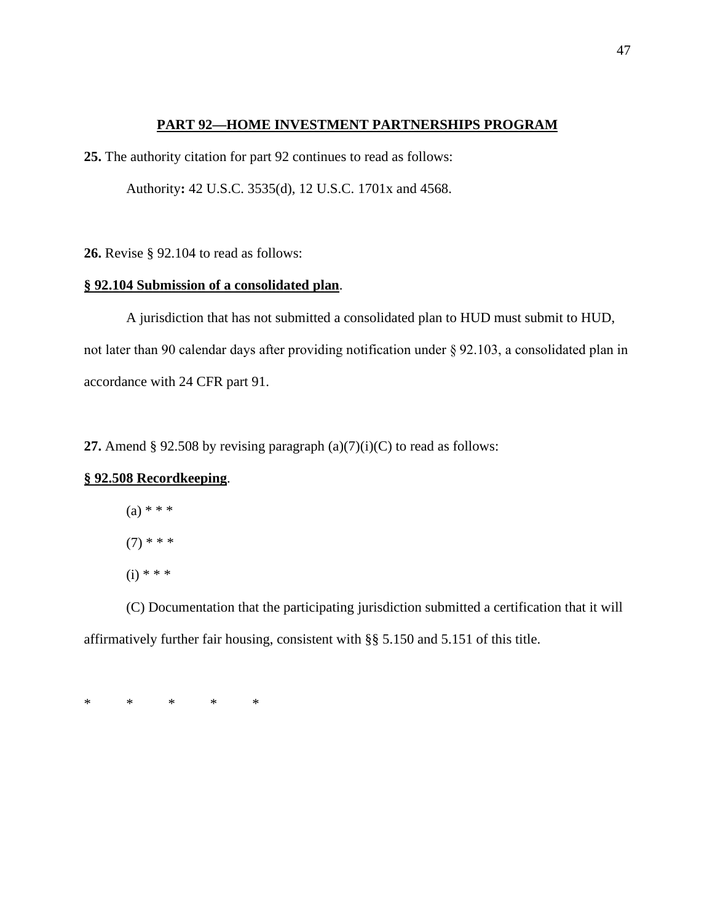## **PART 92—HOME INVESTMENT PARTNERSHIPS PROGRAM**

**25.** The authority citation for part 92 continues to read as follows:

Authority**:** 42 U.S.C. 3535(d), 12 U.S.C. 1701x and 4568.

**26.** Revise § 92.104 to read as follows:

# **§ 92.104 Submission of a consolidated plan**.

A jurisdiction that has not submitted a consolidated plan to HUD must submit to HUD, not later than 90 calendar days after providing notification under § 92.103, a consolidated plan in accordance with 24 CFR part 91.

**27.** Amend § 92.508 by revising paragraph  $(a)(7)(i)(C)$  to read as follows:

# **§ 92.508 Recordkeeping**.

(a) 
$$
***
$$
  
(7)  $***$   
(i)  $***$ 

(C) Documentation that the participating jurisdiction submitted a certification that it will affirmatively further fair housing, consistent with §§ 5.150 and 5.151 of this title.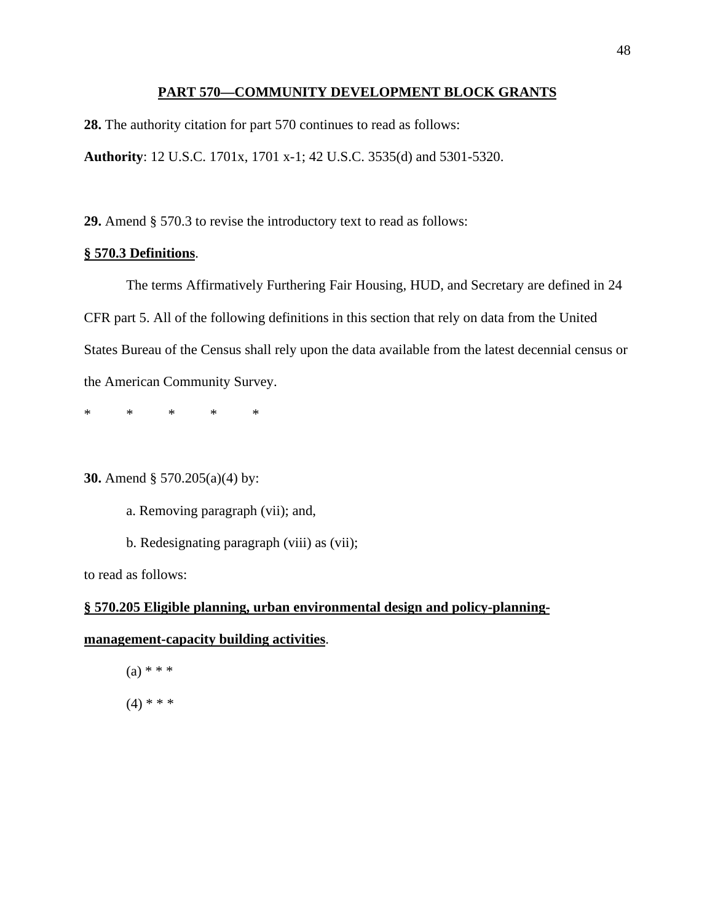#### **PART 570—COMMUNITY DEVELOPMENT BLOCK GRANTS**

**28.** The authority citation for part 570 continues to read as follows:

**Authority**: 12 U.S.C. 1701x, 1701 x-1; 42 U.S.C. 3535(d) and 5301-5320.

**29.** Amend § 570.3 to revise the introductory text to read as follows:

# **§ 570.3 Definitions**.

The terms Affirmatively Furthering Fair Housing, HUD, and Secretary are defined in 24 CFR part 5. All of the following definitions in this section that rely on data from the United States Bureau of the Census shall rely upon the data available from the latest decennial census or the American Community Survey.

\* \* \* \* \*

**30.** Amend § 570.205(a)(4) by:

a. Removing paragraph (vii); and,

b. Redesignating paragraph (viii) as (vii);

to read as follows:

# **§ 570.205 Eligible planning, urban environmental design and policy-planning-**

#### **management-capacity building activities**.

 $(a) * * *$  $(4)$  \* \* \*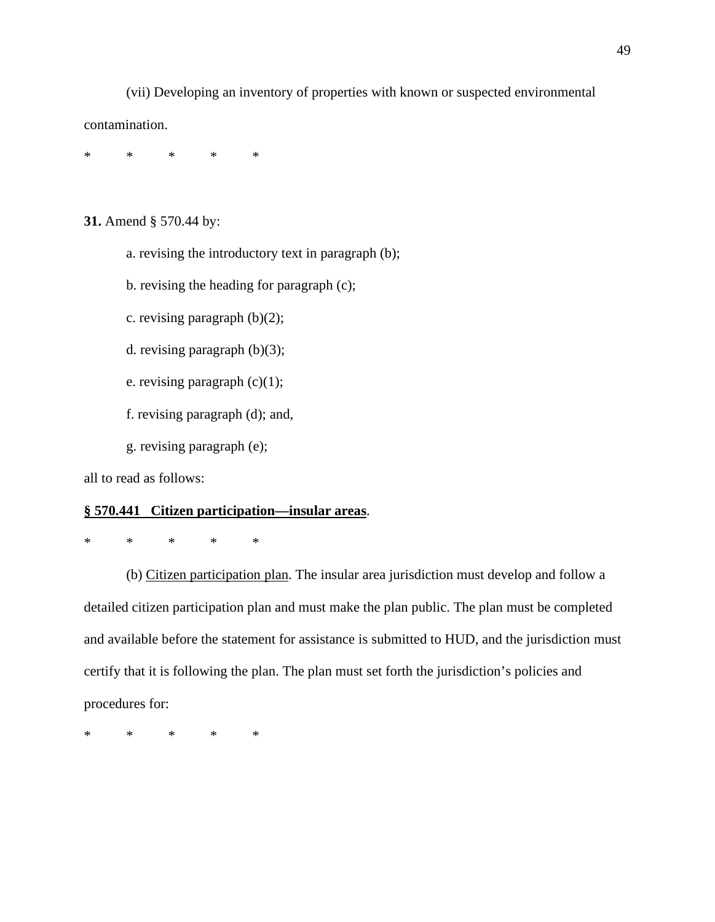(vii) Developing an inventory of properties with known or suspected environmental contamination.

\* \* \* \* \*

**31.** Amend § 570.44 by:

a. revising the introductory text in paragraph (b);

b. revising the heading for paragraph (c);

c. revising paragraph (b)(2);

d. revising paragraph (b)(3);

e. revising paragraph (c)(1);

f. revising paragraph (d); and,

g. revising paragraph (e);

all to read as follows:

#### **§ 570.441 Citizen participation—insular areas**.

\* \* \* \* \*

(b) Citizen participation plan. The insular area jurisdiction must develop and follow a detailed citizen participation plan and must make the plan public. The plan must be completed and available before the statement for assistance is submitted to HUD, and the jurisdiction must certify that it is following the plan. The plan must set forth the jurisdiction's policies and procedures for: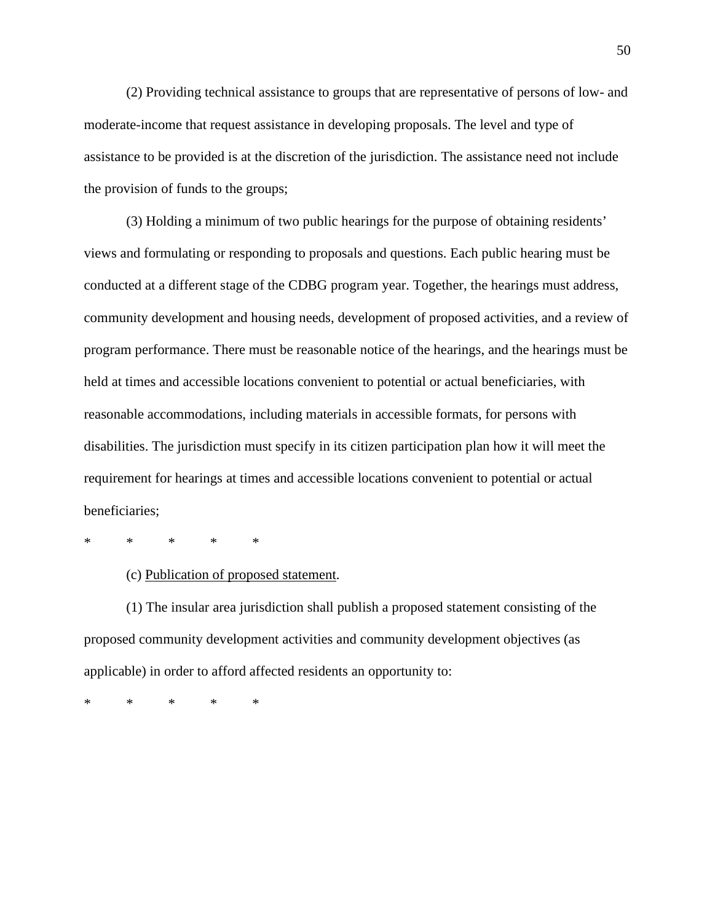(2) Providing technical assistance to groups that are representative of persons of low- and moderate-income that request assistance in developing proposals. The level and type of assistance to be provided is at the discretion of the jurisdiction. The assistance need not include the provision of funds to the groups;

(3) Holding a minimum of two public hearings for the purpose of obtaining residents' views and formulating or responding to proposals and questions. Each public hearing must be conducted at a different stage of the CDBG program year. Together, the hearings must address, community development and housing needs, development of proposed activities, and a review of program performance. There must be reasonable notice of the hearings, and the hearings must be held at times and accessible locations convenient to potential or actual beneficiaries, with reasonable accommodations, including materials in accessible formats, for persons with disabilities. The jurisdiction must specify in its citizen participation plan how it will meet the requirement for hearings at times and accessible locations convenient to potential or actual beneficiaries;

\* \* \* \* \*

(c) Publication of proposed statement.

(1) The insular area jurisdiction shall publish a proposed statement consisting of the proposed community development activities and community development objectives (as applicable) in order to afford affected residents an opportunity to: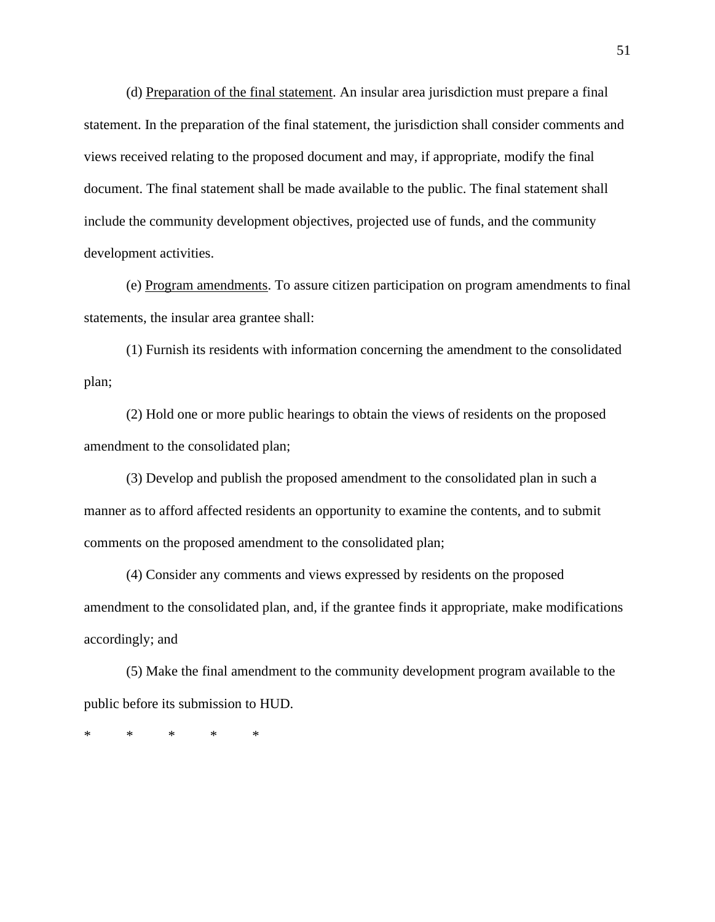(d) Preparation of the final statement. An insular area jurisdiction must prepare a final statement. In the preparation of the final statement, the jurisdiction shall consider comments and views received relating to the proposed document and may, if appropriate, modify the final document. The final statement shall be made available to the public. The final statement shall include the community development objectives, projected use of funds, and the community development activities.

(e) Program amendments. To assure citizen participation on program amendments to final statements, the insular area grantee shall:

(1) Furnish its residents with information concerning the amendment to the consolidated plan;

(2) Hold one or more public hearings to obtain the views of residents on the proposed amendment to the consolidated plan;

(3) Develop and publish the proposed amendment to the consolidated plan in such a manner as to afford affected residents an opportunity to examine the contents, and to submit comments on the proposed amendment to the consolidated plan;

(4) Consider any comments and views expressed by residents on the proposed amendment to the consolidated plan, and, if the grantee finds it appropriate, make modifications accordingly; and

(5) Make the final amendment to the community development program available to the public before its submission to HUD.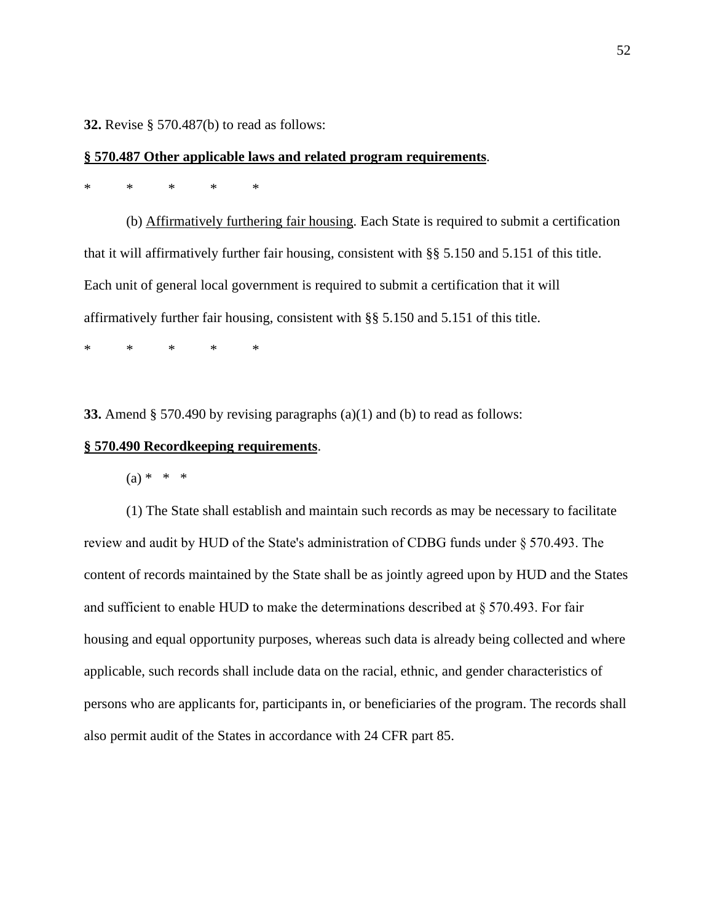**32.** Revise § 570.487(b) to read as follows:

#### **§ 570.487 Other applicable laws and related program requirements**.

# \* \* \* \* \*

(b) Affirmatively furthering fair housing. Each State is required to submit a certification that it will affirmatively further fair housing, consistent with §§ 5.150 and 5.151 of this title. Each unit of general local government is required to submit a certification that it will affirmatively further fair housing, consistent with §§ 5.150 and 5.151 of this title.

\* \* \* \* \*

**33.** Amend § 570.490 by revising paragraphs (a)(1) and (b) to read as follows:

#### **§ 570.490 Recordkeeping requirements**.

 $(a) * * * *$ 

(1) The State shall establish and maintain such records as may be necessary to facilitate review and audit by HUD of the State's administration of CDBG funds under § 570.493. The content of records maintained by the State shall be as jointly agreed upon by HUD and the States and sufficient to enable HUD to make the determinations described at § 570.493. For fair housing and equal opportunity purposes, whereas such data is already being collected and where applicable, such records shall include data on the racial, ethnic, and gender characteristics of persons who are applicants for, participants in, or beneficiaries of the program. The records shall also permit audit of the States in accordance with 24 CFR part 85.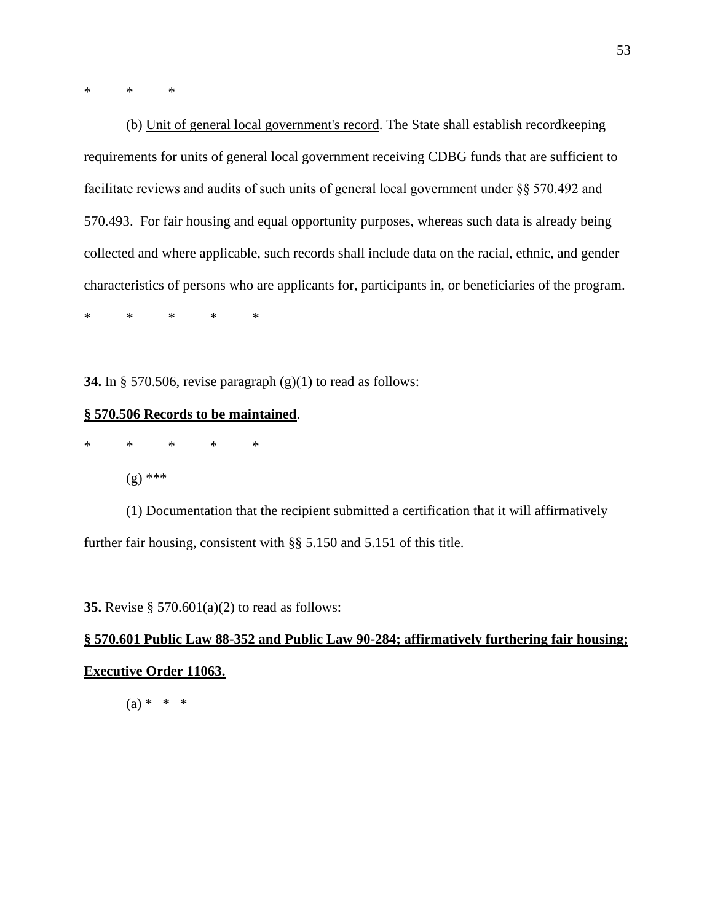\* \* \*

(b) Unit of general local government's record. The State shall establish recordkeeping requirements for units of general local government receiving CDBG funds that are sufficient to facilitate reviews and audits of such units of general local government under §§ 570.492 and 570.493. For fair housing and equal opportunity purposes, whereas such data is already being collected and where applicable, such records shall include data on the racial, ethnic, and gender characteristics of persons who are applicants for, participants in, or beneficiaries of the program.

\* \* \* \* \*

**34.** In § 570.506, revise paragraph (g)(1) to read as follows:

#### **§ 570.506 Records to be maintained**.

\* \* \* \* \* (g) \*\*\*

(1) Documentation that the recipient submitted a certification that it will affirmatively further fair housing, consistent with §§ 5.150 and 5.151 of this title.

**35.** Revise § 570.601(a)(2) to read as follows:

# **§ 570.601 Public Law 88-352 and Public Law 90-284; affirmatively furthering fair housing; Executive Order 11063.**

 $(a) * * * *$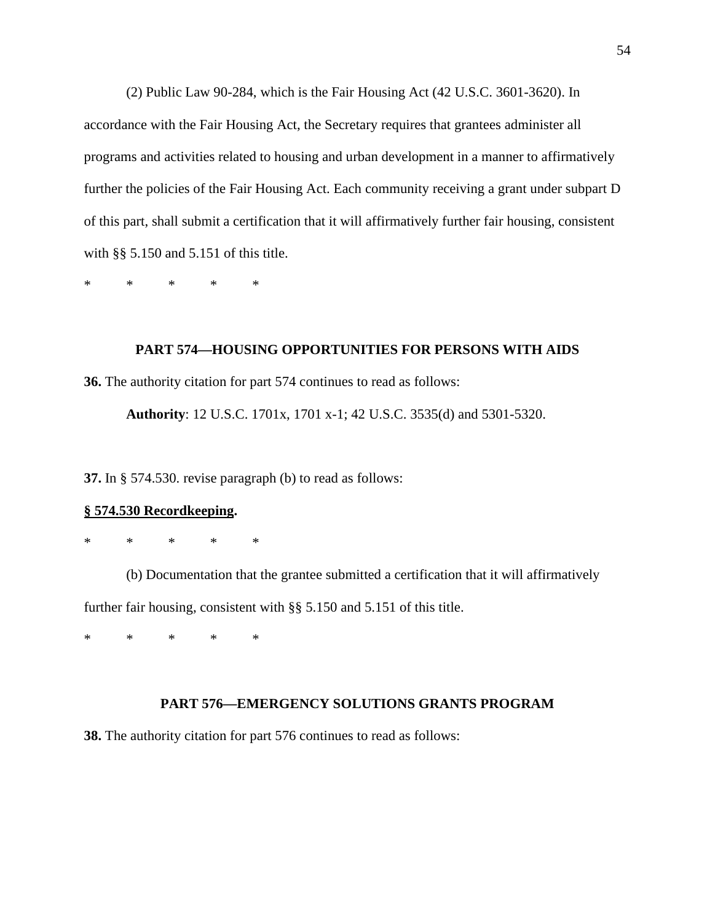(2) Public Law 90-284, which is the Fair Housing Act (42 U.S.C. 3601-3620). In accordance with the Fair Housing Act, the Secretary requires that grantees administer all programs and activities related to housing and urban development in a manner to affirmatively further the policies of the Fair Housing Act. Each community receiving a grant under subpart D of this part, shall submit a certification that it will affirmatively further fair housing, consistent with §§ 5.150 and 5.151 of this title.

\* \* \* \* \*

# **PART 574—HOUSING OPPORTUNITIES FOR PERSONS WITH AIDS**

**36.** The authority citation for part 574 continues to read as follows:

**Authority**: 12 U.S.C. 1701x, 1701 x-1; 42 U.S.C. 3535(d) and 5301-5320.

**37.** In § 574.530. revise paragraph (b) to read as follows:

#### **§ 574.530 Recordkeeping.**

\* \* \* \* \*

(b) Documentation that the grantee submitted a certification that it will affirmatively further fair housing, consistent with §§ 5.150 and 5.151 of this title.

\* \* \* \* \*

# **PART 576—EMERGENCY SOLUTIONS GRANTS PROGRAM**

**38.** The authority citation for part 576 continues to read as follows: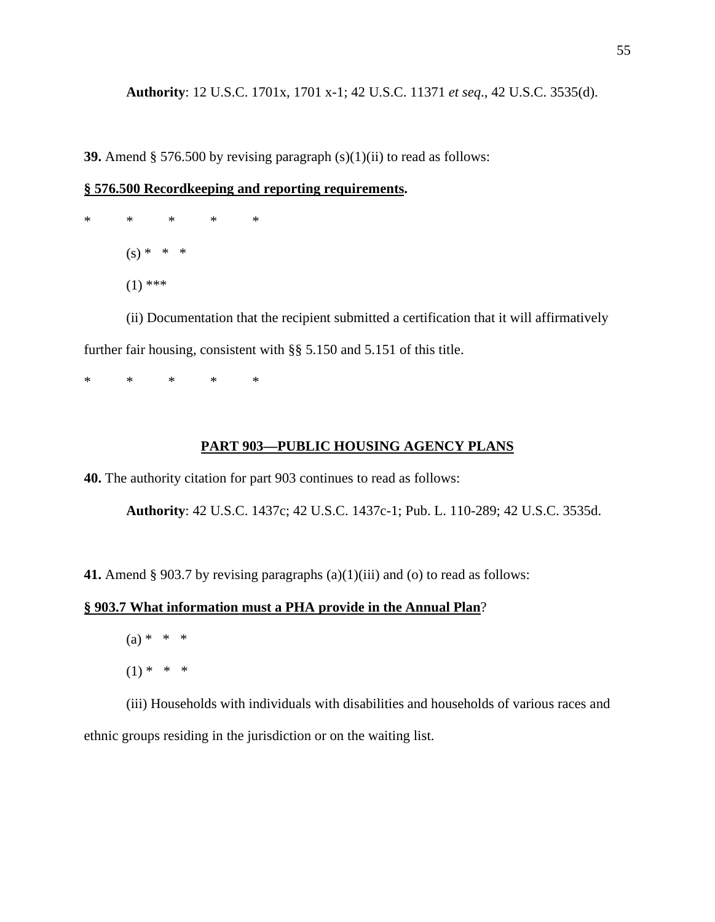**Authority**: 12 U.S.C. 1701x, 1701 x-1; 42 U.S.C. 11371 *et seq*., 42 U.S.C. 3535(d).

**39.** Amend § 576.500 by revising paragraph (s)(1)(ii) to read as follows:

#### **§ 576.500 Recordkeeping and reporting requirements.**

\* \* \* \* \*  $(s) * * * *$  $(1)$  \*\*\*

(ii) Documentation that the recipient submitted a certification that it will affirmatively further fair housing, consistent with §§ 5.150 and 5.151 of this title.

\* \* \* \* \*

#### **PART 903—PUBLIC HOUSING AGENCY PLANS**

**40.** The authority citation for part 903 continues to read as follows:

**Authority**: 42 U.S.C. 1437c; 42 U.S.C. 1437c-1; Pub. L. 110-289; 42 U.S.C. 3535d.

**41.** Amend § 903.7 by revising paragraphs (a)(1)(iii) and (o) to read as follows:

# **§ 903.7 What information must a PHA provide in the Annual Plan**?

- $(a) * * * *$
- $(1) * * * *$

(iii) Households with individuals with disabilities and households of various races and ethnic groups residing in the jurisdiction or on the waiting list.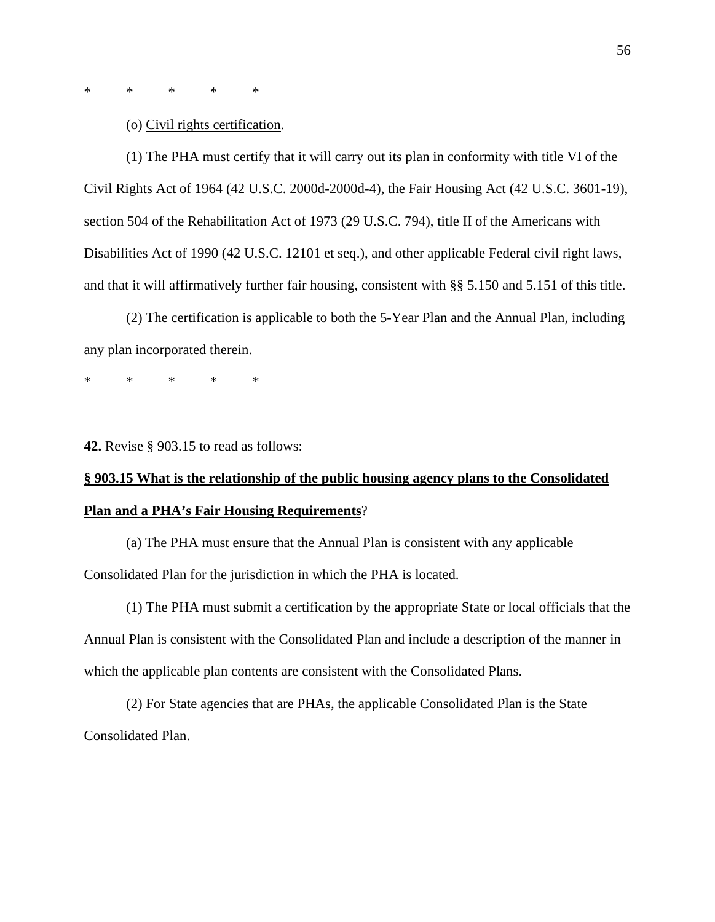\* \* \* \* \*

(o) Civil rights certification.

(1) The PHA must certify that it will carry out its plan in conformity with title VI of the Civil Rights Act of 1964 (42 U.S.C. 2000d-2000d-4), the Fair Housing Act (42 U.S.C. 3601-19), section 504 of the Rehabilitation Act of 1973 (29 U.S.C. 794), title II of the Americans with Disabilities Act of 1990 (42 U.S.C. 12101 et seq.), and other applicable Federal civil right laws, and that it will affirmatively further fair housing, consistent with §§ 5.150 and 5.151 of this title.

(2) The certification is applicable to both the 5-Year Plan and the Annual Plan, including any plan incorporated therein.

\* \* \* \* \*

**42.** Revise § 903.15 to read as follows:

# **§ 903.15 What is the relationship of the public housing agency plans to the Consolidated Plan and a PHA's Fair Housing Requirements**?

(a) The PHA must ensure that the Annual Plan is consistent with any applicable Consolidated Plan for the jurisdiction in which the PHA is located.

(1) The PHA must submit a certification by the appropriate State or local officials that the Annual Plan is consistent with the Consolidated Plan and include a description of the manner in which the applicable plan contents are consistent with the Consolidated Plans.

(2) For State agencies that are PHAs, the applicable Consolidated Plan is the State Consolidated Plan.